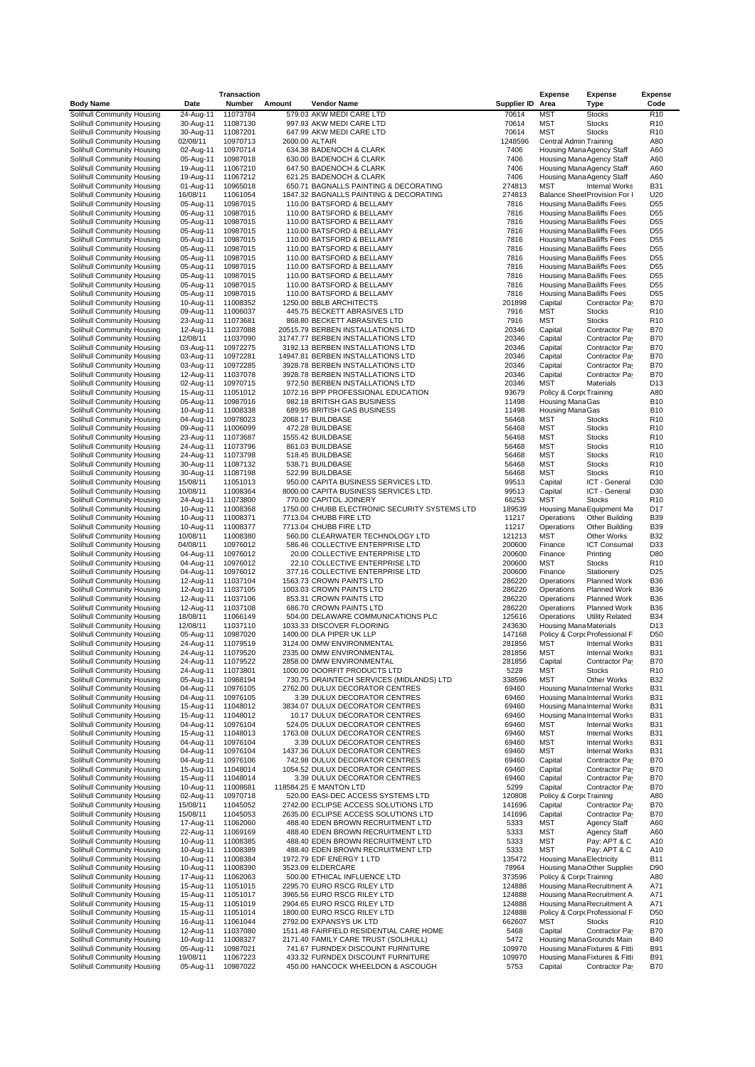|                                                          |                        | <b>Transaction</b>   |        |                                                                         |                      | Expense                                                  | <b>Expense</b>                                             | <b>Expense</b><br>Code             |
|----------------------------------------------------------|------------------------|----------------------|--------|-------------------------------------------------------------------------|----------------------|----------------------------------------------------------|------------------------------------------------------------|------------------------------------|
| <b>Body Name</b><br>Solihull Community Housing           | Date<br>24-Aug-11      | Number<br>11073784   | Amount | <b>Vendor Name</b><br>579.03 AKW MEDI CARE LTD                          | Supplier ID<br>70614 | Area<br>MST                                              | Type<br><b>Stocks</b>                                      | R <sub>10</sub>                    |
| Solihull Community Housing                               | 30-Aug-11              | 11087130             |        | 997.93 AKW MEDI CARE LTD                                                | 70614                | MST                                                      | <b>Stocks</b>                                              | R <sub>10</sub>                    |
| Solihull Community Housing                               | 30-Aug-11              | 11087201             |        | 647.99 AKW MEDI CARE LTD                                                | 70614                | MST                                                      | <b>Stocks</b>                                              | R <sub>10</sub>                    |
| Solihull Community Housing                               | 02/08/11               | 10970713             |        | 2600.00 ALTAIR                                                          | 1248596              | <b>Central Admin Training</b>                            |                                                            | A80                                |
| Solihull Community Housing                               | 02-Aug-11              | 10970714             |        | 634.38 BADENOCH & CLARK                                                 | 7406                 | Housing Mana Agency Staff                                |                                                            | A60                                |
| Solihull Community Housing                               | 05-Aug-11              | 10987018             |        | 630.00 BADENOCH & CLARK                                                 | 7406                 |                                                          | Housing Mana Agency Staff                                  | A60                                |
| Solihull Community Housing<br>Solihull Community Housing | 19-Aug-11<br>19-Aug-11 | 11067210<br>11067212 |        | 647.50 BADENOCH & CLARK<br>621.25 BADENOCH & CLARK                      | 7406<br>7406         | Housing Mana Agency Staff                                | Housing Mana Agency Staff                                  | A60<br>A60                         |
| Solihull Community Housing                               | 01-Aug-11              | 10965018             |        | 650.71 BAGNALLS PAINTING & DECORATING                                   | 274813               | <b>MST</b>                                               | <b>Internal Works</b>                                      | <b>B31</b>                         |
| Solihull Community Housing                               | 16/08/11               | 11061054             |        | 1847.32 BAGNALLS PAINTING & DECORATING                                  | 274813               |                                                          | Balance Sheet Provision For I                              | U20                                |
| Solihull Community Housing                               | 05-Aug-11              | 10987015             |        | 110.00 BATSFORD & BELLAMY                                               | 7816                 | Housing Mana Bailiffs Fees                               |                                                            | D <sub>55</sub>                    |
| Solihull Community Housing                               | 05-Aug-11              | 10987015             |        | 110.00 BATSFORD & BELLAMY                                               | 7816                 | Housing Mana Bailiffs Fees                               |                                                            | D <sub>55</sub>                    |
| Solihull Community Housing                               | 05-Aug-11              | 10987015             |        | 110.00 BATSFORD & BELLAMY                                               | 7816                 | Housing Mana Bailiffs Fees                               |                                                            | D <sub>55</sub>                    |
| Solihull Community Housing                               | 05-Aug-11              | 10987015             |        | 110.00 BATSFORD & BELLAMY                                               | 7816                 | Housing Mana Bailiffs Fees                               |                                                            | D <sub>55</sub>                    |
| Solihull Community Housing<br>Solihull Community Housing | 05-Aug-11<br>05-Aug-11 | 10987015<br>10987015 |        | 110.00 BATSFORD & BELLAMY<br>110.00 BATSFORD & BELLAMY                  | 7816<br>7816         | Housing Mana Bailiffs Fees<br>Housing Mana Bailiffs Fees |                                                            | D <sub>55</sub><br>D <sub>55</sub> |
| Solihull Community Housing                               | 05-Aug-11              | 10987015             |        | 110.00 BATSFORD & BELLAMY                                               | 7816                 | Housing Mana Bailiffs Fees                               |                                                            | D <sub>55</sub>                    |
| Solihull Community Housing                               | 05-Aug-11              | 10987015             |        | 110.00 BATSFORD & BELLAMY                                               | 7816                 | Housing Mana Bailiffs Fees                               |                                                            | D <sub>55</sub>                    |
| Solihull Community Housing                               | 05-Aug-11              | 10987015             |        | 110.00 BATSFORD & BELLAMY                                               | 7816                 | Housing Mana Bailiffs Fees                               |                                                            | D <sub>55</sub>                    |
| Solihull Community Housing                               | 05-Aug-11              | 10987015             |        | 110.00 BATSFORD & BELLAMY                                               | 7816                 | Housing Mana Bailiffs Fees                               |                                                            | D <sub>55</sub>                    |
| Solihull Community Housing                               | 05-Aug-11              | 10987015             |        | 110.00 BATSFORD & BELLAMY                                               | 7816                 | Housing Mana Bailiffs Fees                               |                                                            | D <sub>55</sub>                    |
| Solihull Community Housing<br>Solihull Community Housing | 10-Aug-11<br>09-Aug-11 | 11008352<br>11006037 |        | 1250.00 BBLB ARCHITECTS<br>445.75 BECKETT ABRASIVES LTD                 | 201898<br>7916       | Capital<br>MST                                           | Contractor Pay<br><b>Stocks</b>                            | <b>B70</b><br>R <sub>10</sub>      |
| Solihull Community Housing                               | 23-Aug-11              | 11073681             |        | 868.80 BECKETT ABRASIVES LTD                                            | 7916                 | MST                                                      | <b>Stocks</b>                                              | R <sub>10</sub>                    |
| Solihull Community Housing                               | 12-Aug-11              | 11037088             |        | 20515.79 BERBEN INSTALLATIONS LTD                                       | 20346                | Capital                                                  | Contractor Pay                                             | <b>B70</b>                         |
| Solihull Community Housing                               | 12/08/11               | 11037090             |        | 31747.77 BERBEN INSTALLATIONS LTD                                       | 20346                | Capital                                                  | Contractor Pay                                             | <b>B70</b>                         |
| Solihull Community Housing                               | 03-Aug-11              | 10972275             |        | 3192.13 BERBEN INSTALLATIONS LTD                                        | 20346                | Capital                                                  | Contractor Pay                                             | <b>B70</b>                         |
| Solihull Community Housing                               | 03-Aug-11              | 10972281             |        | 14947.81 BERBEN INSTALLATIONS LTD                                       | 20346                | Capital                                                  | Contractor Pay                                             | <b>B70</b>                         |
| Solihull Community Housing                               | 03-Aug-11              | 10972285             |        | 3928.78 BERBEN INSTALLATIONS LTD                                        | 20346                | Capital                                                  | Contractor Pay                                             | <b>B70</b>                         |
| Solihull Community Housing<br>Solihull Community Housing | 12-Aug-11<br>02-Aug-11 | 11037078<br>10970715 |        | 3928.78 BERBEN INSTALLATIONS LTD<br>972.50 BERBEN INSTALLATIONS LTD     | 20346<br>20346       | Capital<br>MST                                           | Contractor Pay<br>Materials                                | <b>B70</b><br>D <sub>13</sub>      |
| Solihull Community Housing                               | 15-Aug-11              | 11051012             |        | 1072.16 BPP PROFESSIONAL EDUCATION                                      | 93679                | Policy & Corp Training                                   |                                                            | A80                                |
| Solihull Community Housing                               | 05-Aug-11              | 10987016             |        | 982.18 BRITISH GAS BUSINESS                                             | 11498                | Housing Mana Gas                                         |                                                            | <b>B10</b>                         |
| Solihull Community Housing                               | 10-Aug-11              | 11008338             |        | 689.95 BRITISH GAS BUSINESS                                             | 11498                | Housing Mana Gas                                         |                                                            | <b>B10</b>                         |
| Solihull Community Housing                               | 04-Aug-11              | 10978023             |        | 2068.17 BUILDBASE                                                       | 56468                | MST                                                      | <b>Stocks</b>                                              | R <sub>10</sub>                    |
| Solihull Community Housing                               | 09-Aug-11              | 11006099             |        | 472.28 BUILDBASE                                                        | 56468                | MST                                                      | <b>Stocks</b>                                              | R <sub>10</sub>                    |
| Solihull Community Housing                               | 23-Aug-11              | 11073687             |        | 1555.42 BUILDBASE                                                       | 56468                | MST                                                      | <b>Stocks</b>                                              | R <sub>10</sub>                    |
| Solihull Community Housing<br>Solihull Community Housing | 24-Aug-11<br>24-Aug-11 | 11073796<br>11073798 |        | 861.03 BUILDBASE<br>518.45 BUILDBASE                                    | 56468<br>56468       | <b>MST</b><br>MST                                        | <b>Stocks</b><br><b>Stocks</b>                             | R <sub>10</sub><br>R <sub>10</sub> |
| Solihull Community Housing                               | 30-Aug-11              | 11087132             |        | 538.71 BUILDBASE                                                        | 56468                | <b>MST</b>                                               | <b>Stocks</b>                                              | R <sub>10</sub>                    |
| Solihull Community Housing                               | 30-Aug-11              | 11087198             |        | 522.99 BUILDBASE                                                        | 56468                | MST                                                      | <b>Stocks</b>                                              | R <sub>10</sub>                    |
| Solihull Community Housing                               | 15/08/11               | 11051013             |        | 950.00 CAPITA BUSINESS SERVICES LTD.                                    | 99513                | Capital                                                  | ICT - General                                              | D30                                |
| Solihull Community Housing                               | 10/08/11               | 11008364             |        | 8000.00 CAPITA BUSINESS SERVICES LTD.                                   | 99513                | Capital                                                  | ICT - General                                              | D30                                |
| Solihull Community Housing                               | 24-Aug-11              | 11073800             |        | 770.00 CAPITOL JOINERY                                                  | 66253                | <b>MST</b>                                               | <b>Stocks</b>                                              | R <sub>10</sub>                    |
| Solihull Community Housing<br>Solihull Community Housing | 10-Aug-11<br>10-Aug-11 | 11008368<br>11008371 |        | 1750.00 CHUBB ELECTRONIC SECURITY SYSTEMS LTD<br>7713.04 CHUBB FIRE LTD | 189539<br>11217      | Operations                                               | Housing Mana Equipment Ma<br>Other Building                | D <sub>17</sub><br><b>B39</b>      |
| Solihull Community Housing                               | 10-Aug-11              | 11008377             |        | 7713.04 CHUBB FIRE LTD                                                  | 11217                | Operations                                               | Other Building                                             | <b>B39</b>                         |
| Solihull Community Housing                               | 10/08/11               | 11008380             |        | 560.00 CLEARWATER TECHNOLOGY LTD                                        | 121213               | <b>MST</b>                                               | Other Works                                                | <b>B32</b>                         |
| Solihull Community Housing                               | 04/08/11               | 10976012             |        | 586.46 COLLECTIVE ENTERPRISE LTD                                        | 200600               | Finance                                                  | <b>ICT Consumal</b>                                        | D33                                |
| Solihull Community Housing                               | 04-Aug-11              | 10976012             |        | 20.00 COLLECTIVE ENTERPRISE LTD                                         | 200600               | Finance                                                  | Printing                                                   | D80                                |
| Solihull Community Housing                               | 04-Aug-11              | 10976012             |        | 22.10 COLLECTIVE ENTERPRISE LTD                                         | 200600               | <b>MST</b>                                               | <b>Stocks</b>                                              | R <sub>10</sub>                    |
| Solihull Community Housing<br>Solihull Community Housing | 04-Aug-11<br>12-Aug-11 | 10976012<br>11037104 |        | 377.16 COLLECTIVE ENTERPRISE LTD<br>1563.73 CROWN PAINTS LTD            | 200600<br>286220     | Finance<br>Operations                                    | Stationery<br><b>Planned Work</b>                          | D <sub>25</sub><br><b>B36</b>      |
| Solihull Community Housing                               | 12-Aug-11              | 11037105             |        | 1003.03 CROWN PAINTS LTD                                                | 286220               | Operations                                               | <b>Planned Work</b>                                        | <b>B36</b>                         |
| Solihull Community Housing                               | 12-Aug-11              | 11037106             |        | 853.31 CROWN PAINTS LTD                                                 | 286220               | Operations                                               | <b>Planned Work</b>                                        | <b>B36</b>                         |
| Solihull Community Housing                               | 12-Aug-11              | 11037108             |        | 686.70 CROWN PAINTS LTD                                                 | 286220               | Operations                                               | <b>Planned Work</b>                                        | <b>B36</b>                         |
| Solihull Community Housing                               | 18/08/11               | 11066149             |        | 504.00 DELAWARE COMMUNICATIONS PLC                                      | 125616               | Operations                                               | <b>Utility Related</b>                                     | <b>B34</b>                         |
| Solihull Community Housing                               | 12/08/11               | 11037110             |        | 1033.33 DISCOVER FLOORING                                               | 243630               | <b>Housing Mana Materials</b>                            |                                                            | D <sub>13</sub>                    |
| Solihull Community Housing                               | 05-Aug-11              | 10987020             |        | 1400.00 DLA PIPER UK LLP                                                | 147168               |                                                          | Policy & Corp Professional F                               | D <sub>50</sub><br><b>B31</b>      |
| Solihull Community Housing<br>Solihull Community Housing | 24-Aug-11<br>24-Aug-11 | 11079519<br>11079520 |        | 3124.00 DMW ENVIRONMENTAL<br>2335.00 DMW ENVIRONMENTAL                  | 281856<br>281856     | MST<br><b>MST</b>                                        | <b>Internal Works</b><br><b>Internal Works</b>             | <b>B31</b>                         |
| Solihull Community Housing                               | 24-Aug-11              | 11079522             |        | 2858.00 DMW ENVIRONMENTAL                                               | 281856               | Capital                                                  | Contractor Pay                                             | B70                                |
| Solihull Community Housing                               | 24-Aug-11              | 11073801             |        | 1000.00 DOORFIT PRODUCTS LTD                                            | 5228                 | MST                                                      | <b>Stocks</b>                                              | R <sub>10</sub>                    |
| Solihull Community Housing                               | 05-Aug-11              | 10988194             |        | 730.75 DRAINTECH SERVICES (MIDLANDS) LTD                                | 338596               | MST                                                      | Other Works                                                | <b>B32</b>                         |
| Solihull Community Housing                               | 04-Aug-11              | 10976105             |        | 2762.00 DULUX DECORATOR CENTRES                                         | 69460                |                                                          | Housing Mana Internal Works                                | <b>B31</b>                         |
| Solihull Community Housing                               | 04-Aug-11              | 10976105             |        | 3.39 DULUX DECORATOR CENTRES                                            | 69460                |                                                          | Housing Mana Internal Works                                | <b>B31</b>                         |
| Solihull Community Housing<br>Solihull Community Housing | 15-Aug-11<br>15-Aug-11 | 11048012<br>11048012 |        | 3834.07 DULUX DECORATOR CENTRES<br>10.17 DULUX DECORATOR CENTRES        | 69460<br>69460       |                                                          | Housing Mana Internal Works<br>Housing Mana Internal Works | <b>B31</b><br><b>B31</b>           |
| Solihull Community Housing                               | 04-Aug-11              | 10976104             |        | 524.05 DULUX DECORATOR CENTRES                                          | 69460                | MST                                                      | <b>Internal Works</b>                                      | <b>B31</b>                         |
| Solihull Community Housing                               | 15-Aug-11              | 11048013             |        | 1763.08 DULUX DECORATOR CENTRES                                         | 69460                | MST                                                      | <b>Internal Works</b>                                      | <b>B31</b>                         |
| Solihull Community Housing                               | 04-Aug-11              | 10976104             |        | 3.39 DULUX DECORATOR CENTRES                                            | 69460                | <b>MST</b>                                               | <b>Internal Works</b>                                      | <b>B31</b>                         |
| Solihull Community Housing                               | 04-Aug-11              | 10976104             |        | 1437.36 DULUX DECORATOR CENTRES                                         | 69460                | MST                                                      | <b>Internal Works</b>                                      | <b>B31</b>                         |
| Solihull Community Housing                               | 04-Aug-11              | 10976106             |        | 742.98 DULUX DECORATOR CENTRES                                          | 69460                | Capital                                                  | Contractor Pay                                             | <b>B70</b>                         |
| Solihull Community Housing<br>Solihull Community Housing | 15-Aug-11<br>15-Aug-11 | 11048014<br>11048014 |        | 1054.52 DULUX DECORATOR CENTRES<br>3.39 DULUX DECORATOR CENTRES         | 69460<br>69460       | Capital<br>Capital                                       | Contractor Pay<br>Contractor Pay                           | <b>B70</b><br><b>B70</b>           |
| Solihull Community Housing                               | 10-Aug-11              | 11008681             |        | 118584.25 E MANTON LTD                                                  | 5299                 | Capital                                                  | Contractor Pa                                              | <b>B70</b>                         |
| Solihull Community Housing                               | 02-Aug-11              | 10970718             |        | 520.00 EASI-DEC ACCESS SYSTEMS LTD                                      | 120808               | Policy & Corp Training                                   |                                                            | A80                                |
| Solihull Community Housing                               | 15/08/11               | 11045052             |        | 2742.00 ECLIPSE ACCESS SOLUTIONS LTD                                    | 141696               | Capital                                                  | Contractor Pay                                             | <b>B70</b>                         |
| Solihull Community Housing                               | 15/08/11               | 11045053             |        | 2635.00 ECLIPSE ACCESS SOLUTIONS LTD                                    | 141696               | Capital                                                  | Contractor Pay                                             | <b>B70</b>                         |
| Solihull Community Housing                               | 17-Aug-11              | 11062060             |        | 488.40 EDEN BROWN RECRUITMENT LTD                                       | 5333                 | MST                                                      | <b>Agency Staff</b>                                        | A60                                |
| Solihull Community Housing                               | 22-Aug-11              | 11069169             |        | 488.40 EDEN BROWN RECRUITMENT LTD                                       | 5333                 | MST                                                      | <b>Agency Staff</b>                                        | A60                                |
| Solihull Community Housing<br>Solihull Community Housing | 10-Aug-11<br>10-Aug-11 | 11008385<br>11008389 |        | 488.40 EDEN BROWN RECRUITMENT LTD<br>488.40 EDEN BROWN RECRUITMENT LTD  | 5333<br>5333         | MST<br>MST                                               | Pay: APT & C<br>Pay: APT & C                               | A10<br>A10                         |
| Solihull Community Housing                               | 10-Aug-11              | 11008384             |        | 1972.79 EDF ENERGY 1 LTD                                                | 135472               | <b>Housing Mana Electricity</b>                          |                                                            | <b>B11</b>                         |
| Solihull Community Housing                               | 10-Aug-11              | 11008390             |        | 3523.09 ELDERCARE                                                       | 78964                |                                                          | Housing Mana Other Supplies                                | D90                                |
| Solihull Community Housing                               | 17-Aug-11              | 11062063             |        | 500.00 ETHICAL INFLUENCE LTD                                            | 373596               | Policy & Corp Training                                   |                                                            | A80                                |
| Solihull Community Housing                               | 15-Aug-11              | 11051015             |        | 2295.70 EURO RSCG RILEY LTD                                             | 124888               |                                                          | Housing Mana Recruitment A                                 | A71                                |
| Solihull Community Housing                               | 15-Aug-11              | 11051017             |        | 3965.56 EURO RSCG RILEY LTD                                             | 124888               |                                                          | Housing Mana Recruitment A                                 | A71                                |
| Solihull Community Housing                               | 15-Aug-11              | 11051019             |        | 2904.65 EURO RSCG RILEY LTD                                             | 124888               |                                                          | Housing Mana Recruitment A                                 | A71                                |
| Solihull Community Housing<br>Solihull Community Housing | 15-Aug-11<br>16-Aug-11 | 11051014<br>11061044 |        | 1800.00 EURO RSCG RILEY LTD<br>2792.00 EXPANSYS UK LTD                  | 124888<br>662607     | MST                                                      | Policy & Corp Professional F<br><b>Stocks</b>              | D <sub>50</sub><br>R <sub>10</sub> |
| Solihull Community Housing                               | 12-Aug-11              | 11037080             |        | 1511.48 FAIRFIELD RESIDENTIAL CARE HOME                                 | 5468                 | Capital                                                  | Contractor Pay                                             | <b>B70</b>                         |
| Solihull Community Housing                               | 10-Aug-11              | 11008327             |        | 2171.40 FAMILY CARE TRUST (SOLIHULL)                                    | 5472                 |                                                          | Housing Mana Grounds Main                                  | <b>B40</b>                         |
| Solihull Community Housing                               | 05-Aug-11              | 10987021             |        | 741.67 FURNDEX DISCOUNT FURNITURE                                       | 109970               |                                                          | Housing Mana Fixtures & Fitti                              | <b>B91</b>                         |
| Solihull Community Housing                               | 19/08/11               | 11067223             |        | 433.32 FURNDEX DISCOUNT FURNITURE                                       | 109970               |                                                          | Housing Mana Fixtures & Fitti                              | <b>B91</b>                         |
| Solihull Community Housing                               | 05-Aug-11              | 10987022             |        | 450.00 HANCOCK WHEELDON & ASCOUGH                                       | 5753                 | Capital                                                  | Contractor Pay                                             | <b>B70</b>                         |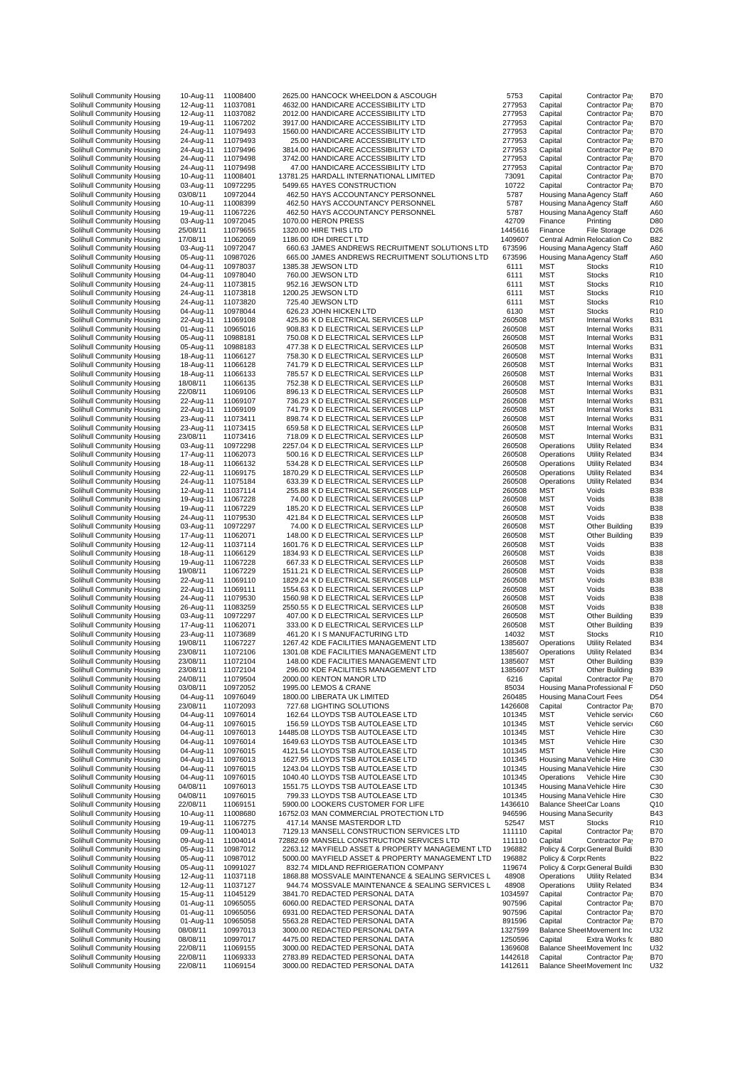| Solihull Community Housing | 10-Aug-11 |          |                                                   |         |                              |                              |                 |
|----------------------------|-----------|----------|---------------------------------------------------|---------|------------------------------|------------------------------|-----------------|
|                            |           | 11008400 | 2625.00 HANCOCK WHEELDON & ASCOUGH                | 5753    | Capital                      | Contractor Pay               | <b>B70</b>      |
| Solihull Community Housing | 12-Aug-11 | 11037081 | 4632.00 HANDICARE ACCESSIBILITY LTD               | 277953  | Capital                      | Contractor Pay               | <b>B70</b>      |
| Solihull Community Housing | 12-Aug-11 | 11037082 | 2012.00 HANDICARE ACCESSIBILITY LTD               | 277953  | Capital                      | Contractor Pay               | <b>B70</b>      |
| Solihull Community Housing | 19-Aug-11 | 11067202 | 3917.00 HANDICARE ACCESSIBILITY LTD               | 277953  | Capital                      | Contractor Pay               | <b>B70</b>      |
|                            |           | 11079493 |                                                   |         |                              |                              |                 |
| Solihull Community Housing | 24-Aug-11 |          | 1560.00 HANDICARE ACCESSIBILITY LTD               | 277953  | Capital                      | Contractor Pay               | <b>B70</b>      |
| Solihull Community Housing | 24-Aug-11 | 11079493 | 25.00 HANDICARE ACCESSIBILITY LTD                 | 277953  | Capital                      | Contractor Pay               | <b>B70</b>      |
| Solihull Community Housing | 24-Aug-11 | 11079496 | 3814.00 HANDICARE ACCESSIBILITY LTD               | 277953  | Capital                      | Contractor Pay               | <b>B70</b>      |
| Solihull Community Housing | 24-Aug-11 | 11079498 | 3742.00 HANDICARE ACCESSIBILITY LTD               | 277953  | Capital                      | Contractor Pay               | <b>B70</b>      |
|                            |           |          |                                                   |         |                              |                              |                 |
| Solihull Community Housing | 24-Aug-11 | 11079498 | 47.00 HANDICARE ACCESSIBILITY LTD                 | 277953  | Capital                      | Contractor Pay               | <b>B70</b>      |
| Solihull Community Housing | 10-Aug-11 | 11008401 | 13781.25 HARDALL INTERNATIONAL LIMITED            | 73091   | Capital                      | Contractor Pay               | <b>B70</b>      |
| Solihull Community Housing | 03-Aug-11 | 10972295 | 5499.65 HAYES CONSTRUCTION                        | 10722   | Capital                      | Contractor Pay               | <b>B70</b>      |
|                            |           |          | 462.50 HAYS ACCOUNTANCY PERSONNEL                 | 5787    |                              |                              | A60             |
| Solihull Community Housing | 03/08/11  | 10972044 |                                                   |         |                              | Housing Mana Agency Staff    |                 |
| Solihull Community Housing | 10-Aug-11 | 11008399 | 462.50 HAYS ACCOUNTANCY PERSONNEL                 | 5787    |                              | Housing Mana Agency Staff    | A60             |
| Solihull Community Housing | 19-Aug-11 | 11067226 | 462.50 HAYS ACCOUNTANCY PERSONNEL                 | 5787    |                              | Housing Mana Agency Staff    | A60             |
| Solihull Community Housing | 03-Aug-11 | 10972045 | 1070.00 HERON PRESS                               | 42709   | Finance                      | Printing                     | D80             |
|                            |           |          |                                                   |         |                              |                              |                 |
| Solihull Community Housing | 25/08/11  | 11079655 | 1320.00 HIRE THIS LTD                             | 1445616 | Finance                      | <b>File Storage</b>          | D <sub>26</sub> |
| Solihull Community Housing | 17/08/11  | 11062069 | 1186.00 IDH DIRECT LTD                            | 1409607 |                              | Central Admin Relocation Co  | <b>B82</b>      |
| Solihull Community Housing | 03-Aug-11 | 10972047 | 660.63 JAMES ANDREWS RECRUITMENT SOLUTIONS LTD    | 673596  |                              | Housing Mana Agency Staff    | A60             |
|                            |           |          |                                                   |         |                              |                              |                 |
| Solihull Community Housing | 05-Aug-11 | 10987026 | 665.00 JAMES ANDREWS RECRUITMENT SOLUTIONS LTD    | 673596  |                              | Housing Mana Agency Staff    | A60             |
| Solihull Community Housing | 04-Aug-11 | 10978037 | 1385.38 JEWSON LTD                                | 6111    | MST                          | <b>Stocks</b>                | R <sub>10</sub> |
| Solihull Community Housing | 04-Aug-11 | 10978040 | 760.00 JEWSON LTD                                 | 6111    | <b>MST</b>                   | <b>Stocks</b>                | R <sub>10</sub> |
| Solihull Community Housing | 24-Aug-11 | 11073815 | 952.16 JEWSON LTD                                 | 6111    | <b>MST</b>                   | <b>Stocks</b>                | R <sub>10</sub> |
|                            |           |          |                                                   |         |                              |                              |                 |
| Solihull Community Housing | 24-Aug-11 | 11073818 | 1200.25 JEWSON LTD                                | 6111    | MST                          | <b>Stocks</b>                | R <sub>10</sub> |
| Solihull Community Housing | 24-Aug-11 | 11073820 | 725.40 JEWSON LTD                                 | 6111    | MST                          | <b>Stocks</b>                | R <sub>10</sub> |
| Solihull Community Housing | 04-Aug-11 | 10978044 | 626.23 JOHN HICKEN LTD                            | 6130    | <b>MST</b>                   | <b>Stocks</b>                | R <sub>10</sub> |
| Solihull Community Housing | 22-Aug-11 | 11069108 | 425.36 K D ELECTRICAL SERVICES LLP                | 260508  | <b>MST</b>                   | <b>Internal Works</b>        | <b>B31</b>      |
|                            |           |          |                                                   |         |                              |                              |                 |
| Solihull Community Housing | 01-Aug-11 | 10965016 | 908.83 K D ELECTRICAL SERVICES LLP                | 260508  | MST                          | <b>Internal Works</b>        | <b>B31</b>      |
| Solihull Community Housing | 05-Aug-11 | 10988181 | 750.08 K D ELECTRICAL SERVICES LLP                | 260508  | <b>MST</b>                   | Internal Works               | <b>B31</b>      |
| Solihull Community Housing | 05-Aug-11 | 10988183 | 477.38 K D ELECTRICAL SERVICES LLP                | 260508  | <b>MST</b>                   | <b>Internal Works</b>        | <b>B31</b>      |
|                            |           |          |                                                   |         |                              |                              |                 |
| Solihull Community Housing | 18-Aug-11 | 11066127 | 758.30 K D ELECTRICAL SERVICES LLP                | 260508  | MST                          | <b>Internal Works</b>        | <b>B31</b>      |
| Solihull Community Housing | 18-Aug-11 | 11066128 | 741.79 K D ELECTRICAL SERVICES LLP                | 260508  | <b>MST</b>                   | <b>Internal Works</b>        | <b>B31</b>      |
| Solihull Community Housing | 18-Aug-11 | 11066133 | 785.57 K D ELECTRICAL SERVICES LLP                | 260508  | <b>MST</b>                   | <b>Internal Works</b>        | <b>B31</b>      |
|                            |           | 11066135 |                                                   | 260508  | <b>MST</b>                   | <b>Internal Works</b>        | <b>B31</b>      |
| Solihull Community Housing | 18/08/11  |          | 752.38 K D ELECTRICAL SERVICES LLP                |         |                              |                              |                 |
| Solihull Community Housing | 22/08/11  | 11069106 | 896.13 K D ELECTRICAL SERVICES LLP                | 260508  | <b>MST</b>                   | <b>Internal Works</b>        | <b>B31</b>      |
| Solihull Community Housing | 22-Aug-11 | 11069107 | 736.23 K D ELECTRICAL SERVICES LLP                | 260508  | <b>MST</b>                   | <b>Internal Works</b>        | <b>B31</b>      |
| Solihull Community Housing | 22-Aug-11 | 11069109 | 741.79 K D ELECTRICAL SERVICES LLP                | 260508  | <b>MST</b>                   | <b>Internal Works</b>        | <b>B31</b>      |
|                            |           |          |                                                   |         |                              |                              |                 |
| Solihull Community Housing | 23-Aug-11 | 11073411 | 898.74 K D ELECTRICAL SERVICES LLP                | 260508  | MST                          | <b>Internal Works</b>        | <b>B31</b>      |
| Solihull Community Housing | 23-Aug-11 | 11073415 | 659.58 K D ELECTRICAL SERVICES LLP                | 260508  | <b>MST</b>                   | <b>Internal Works</b>        | <b>B31</b>      |
| Solihull Community Housing | 23/08/11  | 11073416 | 718.09 K D ELECTRICAL SERVICES LLP                | 260508  | <b>MST</b>                   | Internal Works               | <b>B31</b>      |
|                            |           |          |                                                   |         |                              |                              |                 |
| Solihull Community Housing | 03-Aug-11 | 10972298 | 2257.04 K D ELECTRICAL SERVICES LLP               | 260508  | Operations                   | <b>Utility Related</b>       | <b>B34</b>      |
| Solihull Community Housing | 17-Aug-11 | 11062073 | 500.16 K D ELECTRICAL SERVICES LLP                | 260508  | Operations                   | <b>Utility Related</b>       | <b>B34</b>      |
| Solihull Community Housing | 18-Aug-11 | 11066132 | 534.28 K D ELECTRICAL SERVICES LLP                | 260508  | Operations                   | <b>Utility Related</b>       | <b>B34</b>      |
|                            | 22-Aug-11 | 11069175 | 1870.29 K D ELECTRICAL SERVICES LLP               | 260508  | Operations                   | <b>Utility Related</b>       | <b>B34</b>      |
| Solihull Community Housing |           |          |                                                   |         |                              |                              |                 |
| Solihull Community Housing | 24-Aug-11 | 11075184 | 633.39 K D ELECTRICAL SERVICES LLP                | 260508  | Operations                   | <b>Utility Related</b>       | <b>B34</b>      |
| Solihull Community Housing | 12-Aug-11 | 11037114 | 255.88 K D ELECTRICAL SERVICES LLP                | 260508  | MST                          | Voids                        | <b>B38</b>      |
| Solihull Community Housing | 19-Aug-11 | 11067228 | 74.00 K D ELECTRICAL SERVICES LLP                 | 260508  | MST                          | Voids                        | <b>B38</b>      |
|                            |           |          |                                                   |         |                              |                              |                 |
| Solihull Community Housing | 19-Aug-11 | 11067229 | 185.20 K D ELECTRICAL SERVICES LLP                | 260508  | MST                          | Voids                        | <b>B38</b>      |
| Solihull Community Housing | 24-Aug-11 | 11079530 | 421.84 K D ELECTRICAL SERVICES LLP                | 260508  | MST                          | Voids                        | <b>B38</b>      |
| Solihull Community Housing | 03-Aug-11 | 10972297 | 74.00 K D ELECTRICAL SERVICES LLP                 | 260508  | MST                          | Other Building               | <b>B39</b>      |
|                            |           |          |                                                   |         |                              |                              |                 |
| Solihull Community Housing | 17-Aug-11 | 11062071 | 148.00 K D ELECTRICAL SERVICES LLP                | 260508  | <b>MST</b>                   | Other Building               | <b>B39</b>      |
| Solihull Community Housing | 12-Aug-11 | 11037114 | 1601.76 K D ELECTRICAL SERVICES LLP               | 260508  | MST                          | Voids                        | <b>B38</b>      |
| Solihull Community Housing | 18-Aug-11 | 11066129 | 1834.93 K D ELECTRICAL SERVICES LLP               | 260508  | MST                          | Voids                        | <b>B38</b>      |
|                            |           |          | 667.33 K D ELECTRICAL SERVICES LLP                |         |                              |                              |                 |
|                            |           |          |                                                   |         |                              |                              |                 |
| Solihull Community Housing | 19-Aug-11 | 11067228 |                                                   | 260508  | <b>MST</b>                   | Voids                        | <b>B38</b>      |
| Solihull Community Housing | 19/08/11  | 11067229 | 1511.21 K D ELECTRICAL SERVICES LLP               | 260508  | <b>MST</b>                   | Voids                        | <b>B38</b>      |
| Solihull Community Housing | 22-Aug-11 | 11069110 | 1829.24 K D ELECTRICAL SERVICES LLP               | 260508  | MST                          | Voids                        | <b>B38</b>      |
|                            |           |          |                                                   |         |                              |                              |                 |
| Solihull Community Housing | 22-Aug-11 | 11069111 | 1554.63 K D ELECTRICAL SERVICES LLP               | 260508  | <b>MST</b>                   | Voids                        | <b>B38</b>      |
| Solihull Community Housing | 24-Aug-11 | 11079530 | 1560.98 K D ELECTRICAL SERVICES LLP               | 260508  | <b>MST</b>                   | Voids                        | <b>B38</b>      |
| Solihull Community Housing | 26-Aug-11 | 11083259 | 2550.55 K D ELECTRICAL SERVICES LLP               | 260508  | <b>MST</b>                   | Voids                        | <b>B38</b>      |
|                            |           |          |                                                   |         |                              |                              |                 |
| Solihull Community Housing | 03-Aug-11 | 10972297 | 407.00 K D ELECTRICAL SERVICES LLP                | 260508  | MST                          | Other Building               | <b>B39</b>      |
| Solihull Community Housing | 17-Aug-11 | 11062071 | 333.00 K D ELECTRICAL SERVICES LLP                | 260508  | MST                          | Other Building               | <b>B39</b>      |
| Solihull Community Housing | 23-Aug-11 | 11073689 | 461.20 K I S MANUFACTURING LTD                    | 14032   | <b>MST</b>                   | <b>Stocks</b>                | R <sub>10</sub> |
| Solihull Community Housing | 19/08/11  | 11067227 | 1267.42 KDE FACILITIES MANAGEMENT LTD             | 1385607 | Operations                   | <b>Utility Related</b>       | <b>B34</b>      |
|                            |           |          |                                                   |         |                              |                              |                 |
| Solihull Community Housing | 23/08/11  | 11072106 | 1301.08 KDE FACILITIES MANAGEMENT LTD             | 1385607 | Operations                   | <b>Utility Related</b>       | <b>B34</b>      |
| Solihull Community Housing | 23/08/11  | 11072104 | 148.00 KDE FACILITIES MANAGEMENT LTD              | 1385607 | MST                          | Other Building               | <b>B39</b>      |
| Solihull Community Housing | 23/08/11  | 11072104 | 296.00 KDE FACILITIES MANAGEMENT LTD              | 1385607 | <b>MST</b>                   | Other Building               | <b>B39</b>      |
| Solihull Community Housing | 24/08/11  | 11079504 | 2000.00 KENTON MANOR LTD                          | 6216    | Capital                      | Contractor Pay               | <b>B70</b>      |
|                            |           |          |                                                   |         |                              |                              |                 |
| Solihull Community Housing | 03/08/11  | 10972052 | 1995.00 LEMOS & CRANE                             | 85034   |                              | Housing Mana Professional F  | D <sub>50</sub> |
| Solihull Community Housing | 04-Aug-11 | 10976049 | 1800.00 LIBERATA UK LIMITED                       | 260485  | Housing Mana Court Fees      |                              | D <sub>54</sub> |
| Solihull Community Housing | 23/08/11  | 11072093 | 727.68 LIGHTING SOLUTIONS                         | 1426608 | Capital                      | Contractor Pay               | <b>B70</b>      |
| Solihull Community Housing | 04-Aug-11 | 10976014 | 162.64 LLOYDS TSB AUTOLEASE LTD                   | 101345  | MST                          | Vehicle service              | C60             |
|                            |           |          |                                                   |         |                              |                              |                 |
| Solihull Community Housing | 04-Aug-11 | 10976015 | 156.59 LLOYDS TSB AUTOLEASE LTD                   | 101345  | <b>MST</b>                   | Vehicle service              | C60             |
| Solihull Community Housing | 04-Aug-11 | 10976013 | 14485.08 LLOYDS TSB AUTOLEASE LTD                 | 101345  | <b>MST</b>                   | Vehicle Hire                 | C30             |
| Solihull Community Housing | 04-Aug-11 | 10976014 | 1649.63 LLOYDS TSB AUTOLEASE LTD                  | 101345  | MST                          | Vehicle Hire                 | C30             |
| Solihull Community Housing | 04-Aug-11 | 10976015 | 4121.54 LLOYDS TSB AUTOLEASE LTD                  | 101345  | MST                          | Vehicle Hire                 | C <sub>30</sub> |
|                            |           |          |                                                   |         |                              |                              |                 |
| Solihull Community Housing | 04-Aug-11 | 10976013 | 1627.95 LLOYDS TSB AUTOLEASE LTD                  | 101345  |                              | Housing Mana Vehicle Hire    | C30             |
| Solihull Community Housing | 04-Aug-11 | 10976015 | 1243.04 LLOYDS TSB AUTOLEASE LTD                  | 101345  |                              | Housing Mana Vehicle Hire    | C30             |
| Solihull Community Housing | 04-Aug-11 | 10976015 | 1040.40 LLOYDS TSB AUTOLEASE LTD                  | 101345  | Operations                   | Vehicle Hire                 | C30             |
|                            |           |          |                                                   |         |                              |                              |                 |
| Solihull Community Housing | 04/08/11  | 10976013 | 1551.75 LLOYDS TSB AUTOLEASE LTD                  | 101345  |                              | Housing Mana Vehicle Hire    | C30             |
| Solihull Community Housing | 04/08/11  | 10976015 | 799.33 LLOYDS TSB AUTOLEASE LTD                   | 101345  |                              | Housing Mana Vehicle Hire    | C30             |
| Solihull Community Housing | 22/08/11  | 11069151 | 5900.00 LOOKERS CUSTOMER FOR LIFE                 | 1436610 | Balance SheetCar Loans       |                              | Q10             |
| Solihull Community Housing | 10-Aug-11 | 11008680 | 16752.03 MAN COMMERCIAL PROTECTION LTD            | 946596  | <b>Housing Mana Security</b> |                              | <b>B43</b>      |
|                            |           |          |                                                   |         |                              |                              |                 |
| Solihull Community Housing | 19-Aug-11 | 11067275 | 417.14 MANSE MASTERDOR LTD                        | 52547   | MST                          | Stocks                       | R <sub>10</sub> |
| Solihull Community Housing | 09-Aug-11 | 11004013 | 7129.13 MANSELL CONSTRUCTION SERVICES LTD         | 111110  | Capital                      | Contractor Pay               | <b>B70</b>      |
| Solihull Community Housing | 09-Aug-11 | 11004014 | 72882.69 MANSELL CONSTRUCTION SERVICES LTD        | 111110  | Capital                      | Contractor Pay               | <b>B70</b>      |
| Solihull Community Housing | 05-Aug-11 | 10987012 | 2263.12 MAYFIELD ASSET & PROPERTY MANAGEMENT LTD  | 196882  |                              | Policy & Corp General Buildi | <b>B30</b>      |
|                            |           |          |                                                   |         |                              |                              |                 |
| Solihull Community Housing | 05-Aug-11 | 10987012 | 5000.00 MAYFIELD ASSET & PROPERTY MANAGEMENT LTD  | 196882  | Policy & Corp Rents          |                              | <b>B22</b>      |
| Solihull Community Housing | 05-Aug-11 | 10991027 | 832.74 MIDLAND REFRIGERATION COMPANY              | 119674  |                              | Policy & Corp General Buildi | <b>B30</b>      |
| Solihull Community Housing | 12-Aug-11 | 11037118 | 1868.88 MOSSVALE MAINTENANCE & SEALING SERVICES L | 48908   | Operations                   | <b>Utility Related</b>       | <b>B34</b>      |
|                            |           |          |                                                   |         |                              |                              |                 |
| Solihull Community Housing | 12-Aug-11 | 11037127 | 944.74 MOSSVALE MAINTENANCE & SEALING SERVICES L  | 48908   | Operations                   | <b>Utility Related</b>       | <b>B34</b>      |
| Solihull Community Housing | 15-Aug-11 | 11045129 | 3841.70 REDACTED PERSONAL DATA                    | 1034597 | Capital                      | Contractor Pay               | <b>B70</b>      |
| Solihull Community Housing | 01-Aug-11 | 10965055 | 6060.00 REDACTED PERSONAL DATA                    | 907596  | Capital                      | Contractor Pay               | <b>B70</b>      |
|                            |           |          |                                                   |         |                              |                              |                 |
| Solihull Community Housing | 01-Aug-11 | 10965056 | 6931.00 REDACTED PERSONAL DATA                    | 907596  | Capital                      | Contractor Pay               | <b>B70</b>      |
| Solihull Community Housing | 01-Aug-11 | 10965058 | 5563.28 REDACTED PERSONAL DATA                    | 891596  | Capital                      | Contractor Pay               | <b>B70</b>      |
| Solihull Community Housing | 08/08/11  | 10997013 | 3000.00 REDACTED PERSONAL DATA                    | 1327599 |                              | Balance SheetMovement Inc    | U32             |
| Solihull Community Housing | 08/08/11  | 10997017 | 4475.00 REDACTED PERSONAL DATA                    | 1250596 | Capital                      | Extra Works fo               | <b>B80</b>      |
|                            |           |          |                                                   |         |                              |                              |                 |
| Solihull Community Housing | 22/08/11  | 11069155 | 3000.00 REDACTED PERSONAL DATA                    | 1369608 |                              | Balance SheetMovement Inc    | U32             |
| Solihull Community Housing | 22/08/11  | 11069333 | 2783.89 REDACTED PERSONAL DATA                    | 1442618 | Capital                      | Contractor Pay               | <b>B70</b>      |
| Solihull Community Housing | 22/08/11  | 11069154 | 3000.00 REDACTED PERSONAL DATA                    | 1412611 |                              | Balance Shee Movement Inc    | U32             |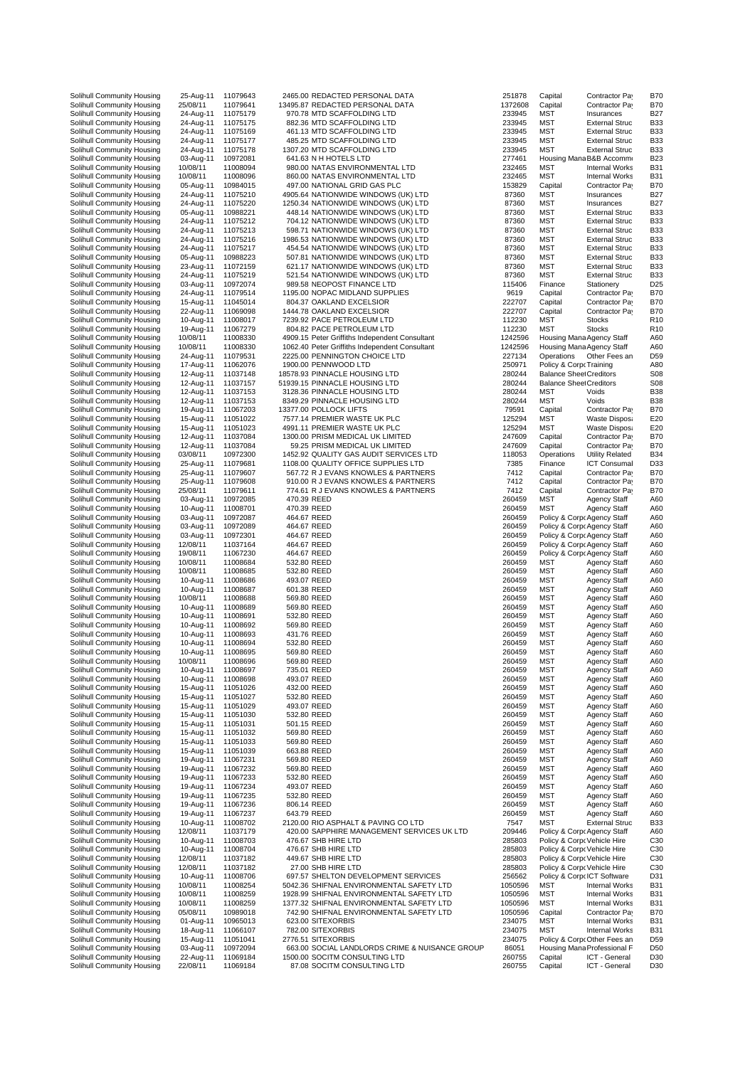| Solinuli Community Housing<br>Solihull Community Housing | ∠<br>25                              |
|----------------------------------------------------------|--------------------------------------|
| Solihull Community Housing<br>Solihull Community Housing | $\mathbf{2}$<br>$\overline{c}$       |
| Solihull Community Housing                               | $\overline{c}$                       |
| Solihull Community Housing<br>Solihull Community Housing | $\overline{c}$<br>2                  |
| Solihull Community Housing                               | 0                                    |
| Solihull Community Housing<br>Solihull Community Housing | 10<br>1 <sup>C</sup>                 |
| Solihull Community Housing                               | 0                                    |
| Solihull Community Housing                               | $\overline{c}$                       |
| Solihull Community Housing<br>Solihull Community Housing | $\overline{2}$<br>0                  |
| Solihull Community Housing                               | $\mathbf{2}$                         |
| Solihull Community Housing<br>Solihull Community Housing | $\overline{c}$<br>$\overline{c}$     |
| Solihull Community Housing                               | $\mathbf{2}$                         |
| Solihull Community Housing<br>Solihull Community Housing | 0<br>$\overline{c}$                  |
| Solihull Community Housing                               | $\mathbf{2}$                         |
| Solihull Community Housing<br>Solihull Community Housing | 0<br>$\mathbf{2}$                    |
| Solihull Community Housing                               | $\ddagger$                           |
| Solihull Community Housing                               | $\overline{c}$<br>$\mathbf{1}$       |
| Solihull Community Housing<br>Solihull Community Housing | $\ddagger$                           |
| Solihull Community Housing                               | 10                                   |
| Solihull Community Housing<br>Solihull Community Housing | 10<br>$\overline{c}$                 |
| Solihull Community Housing                               | $\mathbf{1}$                         |
| Solihull Community Housing<br>Solihull Community Housing | $\ddagger$<br>$\ddagger$             |
| Solihull Community Housing                               | $\ddagger$                           |
| Solihull Community Housing<br>Solihull Community Housing | $\ddagger$<br>$\ddagger$             |
| Solihull Community Housing                               | $\ddagger$                           |
| Solihull Community Housing                               | $\ddagger$<br>$\ddagger$             |
| Solihull Community Housing<br>Solihull Community Housing | $\ddagger$                           |
| Solihull Community Housing                               | O3                                   |
| Solihull Community Housing<br>Solihull Community Housing | $\overline{c}$<br>$\overline{c}$     |
| Solihull Community Housing                               | $\overline{c}$                       |
| Solihull Community Housing<br>Solihull Community Housing | 25<br>0                              |
| Solihull Community Housing                               | 1                                    |
| Solihull Community Housing<br>Solihull Community Housing | 0<br>0                               |
| Solihull Community Housing                               | 0                                    |
| Solihull Community Housing                               | 12                                   |
| Solihull Community Housing<br>Solihull Community Housing | 19<br>10                             |
| Solihull Community Housing                               | 10                                   |
| Solihull Community Housing<br>Solihull Community Housing | $\ddagger$<br>$\ddot{\phantom{1}}$   |
| Solihull Community Housing                               | 10                                   |
| Solihull Community Housing<br>Solihull Community Housing | $\ddot{\phantom{1}}$<br>1            |
| Solihull Community Housing                               | 1                                    |
| Solihull Community Housing                               | $\ddot{\phantom{1}}$<br>$\mathbf{1}$ |
| Solihull Community Housing<br>Solihull Community Housing | $\mathbf{1}$                         |
| Solihull Community Housing                               | 1 <sup>C</sup>                       |
| Solihull Community Housing<br>Solihull Community Housing | 1<br>1                               |
| Solihull Community Housing                               | $\ddagger$                           |
| Solihull Community Housing<br>Solihull Community Housing | $\ddagger$<br>$\ddagger$             |
| Solihull Community Housing                               | $\ddagger$                           |
| Solihull Community Housing<br>Solihull Community Housing | $\ddagger$<br>$\ddagger$             |
| Solihull Community Housing                               | $\ddagger$                           |
| Solihull Community Housing<br>Solihull Community Housing | $\ddagger$<br>$\ddagger$             |
| Solihull Community Housing                               | 1                                    |
| Solihull Community Housing                               | $\ddot{\phantom{a}}$<br>$\ddagger$   |
| Solihull Community Housing<br>Solihull Community Housing | 1                                    |
| Solihull Community Housing                               | $\ddagger$                           |
| Solihull Community Housing<br>Solihull Community Housing | $\ddagger$<br>$\mathbf{1}$           |
| Solihull Community Housing                               | 12                                   |
| Solihull Community Housing<br>Solihull Community Housing | $\mathbf{1}$<br>$\mathbf{1}$         |
| Solihull Community Housing                               | 12                                   |
| Solihull Community Housing                               | 12                                   |
| Solihull Community Housing<br>Solihull Community Housing | 1<br>10                              |
| Solihull Community Housing                               | 10                                   |
| Solihull Community Housing<br>Solihull Community Housing | 10<br>05                             |
| Solihull Community Housing                               | 0                                    |
| Solihull Community Housing<br>Solihull Community Housing | 1<br>$\ddagger$                      |
| Solihull Community Housing                               | 0                                    |
| Solihull Community Housing                               | 2<br>22                              |
| Solihull Community Housing                               |                                      |

| 11079643             | 2465.00 REDACT   |                                 |
|----------------------|------------------|---------------------------------|
| 11079641             | 13495.87 REDACT  |                                 |
| 11075179             |                  | 970.78 MTD SC/                  |
|                      |                  |                                 |
| 11075175             |                  | 882.36 MTD SC/                  |
| 11075169             |                  | 461.13 MTD SCA                  |
| 11075177             |                  | 485.25 MTD SC/                  |
| 11075178             |                  | 1307.20 MTD SCA                 |
| 10972081             |                  | 641.63 N H HOT                  |
| 11008094             |                  | 980.00 NATAS E                  |
| 11008096             |                  | 860.00 NATAS E                  |
|                      |                  |                                 |
| 10984015             |                  | 497.00 NATIONA                  |
| 11075210             |                  | 4905.64 NATIONV                 |
| 11075220             |                  | 1250.34 NATIONV                 |
| 10988221             |                  | 448.14 NATIONV                  |
| 11075212             |                  | 704.12 NATIONV                  |
| 11075213             |                  | 598.71 NATIONV                  |
|                      |                  |                                 |
| 11075216             |                  | 1986.53 NATIONV                 |
| 11075217             |                  | 454.54 NATIONV                  |
| 10988223             |                  | 507.81 NATIONV                  |
| 11072159             |                  | 621.17 NATIONV                  |
| 11075219             |                  | 521.54 NATIONV                  |
| 10972074             |                  | 989.58 NEOPOS                   |
|                      |                  |                                 |
| 11079514             |                  | 1195.00 NOPAC M                 |
| 11045014             |                  | 804.37 OAKLANI                  |
| 11069098             |                  | 1444.78 OAKLAN                  |
| 11008017             |                  | 7239.92 PACE PE                 |
| 11067279             |                  | 804.82 PACE PE                  |
| 11008330             |                  | 4909.15 Peter Grif              |
|                      |                  |                                 |
| 11008330             |                  | 1062.40 Peter Grif              |
| 11079531             |                  | 2225.00 PENNINO                 |
| 11062076             |                  | 1900.00 PENNWC                  |
| 11037148             | 18578.93 PINNACL |                                 |
| 11037157             | 51939.15 PINNACL |                                 |
|                      |                  |                                 |
| 11037153             |                  | 3128.36 PINNACL                 |
| 11037153             |                  | 8349.29 PINNACL                 |
| 11067203             | 13377.00 POLLOCI |                                 |
| 11051022             |                  | 7577.14 PREMIEF                 |
| 11051023             |                  | 4991.11 PREMIEF                 |
|                      |                  |                                 |
| 11037084             |                  | 1300.00 PRISM M                 |
| 11037084             |                  | 59.25 PRISM M                   |
| 10972300             |                  | 1452.92 QUALITY                 |
| 11079681             |                  | 1108.00 QUALITY                 |
| 11079607             |                  | 567.72 R J EVAN                 |
| 11079608             |                  | 910.00 R J EVAN                 |
|                      |                  |                                 |
| 11079611             |                  | 774.61 R J EVAN                 |
| 10972085             | 470.39 REED      |                                 |
| 11008701             | 470.39 REED      |                                 |
| 10972087             | 464.67 REED      |                                 |
| 10972089             | 464.67 REED      |                                 |
| 10972301             | 464.67 REED      |                                 |
| 11037164             | 464.67 REED      |                                 |
| 11067230             | 464.67 REED      |                                 |
|                      |                  |                                 |
| 11008684             | 532.80 REED      |                                 |
| 11008685             | 532.80 REED      |                                 |
| 11008686             | 493.07 REED      |                                 |
| 11008687             | 601.38 REED      |                                 |
| 11008688             | 569.80 REED      |                                 |
| 11008689             | 569.80 REED      |                                 |
|                      |                  |                                 |
| 11008691             | 532.80 REED      |                                 |
| 11008692             | 569.80 REED      |                                 |
| 11008693             | 431.76 REED      |                                 |
| 11008694             |                  |                                 |
|                      |                  |                                 |
|                      | 532.80 REED      |                                 |
| 11008695             | 569.80 REED      |                                 |
| 11008696             | 569.80 REED      |                                 |
| 11008697             | 735.01 REED      |                                 |
| 11008698             | 493.07 REED      |                                 |
| 11051026             | 432.00 REED      |                                 |
| 11051027             | 532.80 REED      |                                 |
| 11051029             | 493.07 REED      |                                 |
|                      |                  |                                 |
| 11051030             | 532.80 REED      |                                 |
| 11051031             | 501.15 REED      |                                 |
| 11051032             | 569.80 REED      |                                 |
| 11051033             | 569.80 REED      |                                 |
| 11051039             | 663.88 REED      |                                 |
| 11067231             |                  |                                 |
|                      | 569.80 REED      |                                 |
| 11067232             | 569.80 REED      |                                 |
| 11067233             | 532.80 REED      |                                 |
| 11067234             | 493.07 REED      |                                 |
| 11067235             | 532.80 REED      |                                 |
| 11067236             | 806.14 REED      |                                 |
| 11067237             | 643.79 REED      |                                 |
|                      |                  |                                 |
| 11008702             |                  | 2120.00 RIO ASPI                |
| 11037179             |                  | 420.00 SAPPHIR                  |
| 11008703             |                  | 476.67 SHB HIRI                 |
| 11008704             |                  | 476.67 SHB HIRI                 |
| 11037182             |                  | 449.67 SHB HIRI                 |
| 11037182             |                  | 27.00 SHB HIRI                  |
| 11008706             |                  | 697.57 SHELTOI                  |
|                      |                  |                                 |
| 11008254             |                  | 5042.36 SHIFNAL                 |
| 11008259             |                  | 1928.99 SHIFNAL                 |
| 11008259             |                  | 1377.32 SHIFNAL                 |
| 10989018             |                  | 742.90 SHIFNAL                  |
|                      |                  |                                 |
| 10965013             |                  | 623.00 SITEXOR                  |
| 11066107             |                  | 782.00 SITEXOR                  |
| 11051041             | 2776.51          | <b>SITEXOR</b>                  |
| 10972094             |                  | 663.00 SOCIAL I                 |
| 11069184<br>11069184 |                  | 1500.00 SOCITM<br>87.08. SOCITM |

| Solihull Community Housing                               | 25-Aug-11             | 11079643             | 2465.00 REDACTED PERSONAL DATA                               | 251878           | Capital                       | Contractor Pa                  | B70                   |
|----------------------------------------------------------|-----------------------|----------------------|--------------------------------------------------------------|------------------|-------------------------------|--------------------------------|-----------------------|
| Solihull Community Housing                               | 25/08/11              | 11079641             | 13495.87 REDACTED PERSONAL DATA                              | 1372608          | Capital                       | Contractor Pay                 | B70                   |
| Solihull Community Housing                               | 24-Aug-11             | 11075179             | 970.78 MTD SCAFFOLDING LTD                                   | 233945           | <b>MST</b>                    | Insurances                     | B27                   |
| Solihull Community Housing                               | 24-Aug-11             | 11075175             | 882.36 MTD SCAFFOLDING LTD                                   | 233945           | <b>MST</b>                    | <b>External Struc</b>          | <b>B33</b>            |
| Solihull Community Housing                               | 24-Aug-11             | 11075169             | 461.13 MTD SCAFFOLDING LTD                                   | 233945           | MST                           | <b>External Struc</b>          | B33                   |
| Solihull Community Housing                               | 24-Aug-11             | 11075177             | 485.25 MTD SCAFFOLDING LTD                                   | 233945           | <b>MST</b>                    | <b>External Struc</b>          | <b>B33</b>            |
| Solihull Community Housing                               | 24-Aug-11             | 11075178             | 1307.20 MTD SCAFFOLDING LTD                                  | 233945           | <b>MST</b>                    | <b>External Struc</b>          | B33                   |
| Solihull Community Housing                               | 03-Aug-11             | 10972081             | 641.63 N H HOTELS LTD                                        | 277461           |                               | Housing Mana B&B Accomm        | B23                   |
| Solihull Community Housing                               | 10/08/11              | 11008094             | 980.00 NATAS ENVIRONMENTAL LTD                               | 232465           | <b>MST</b>                    | <b>Internal Works</b>          | <b>B31</b>            |
| Solihull Community Housing                               | 10/08/11              | 11008096             | 860.00 NATAS ENVIRONMENTAL LTD                               | 232465           | <b>MST</b>                    | <b>Internal Works</b>          | B31                   |
| Solihull Community Housing                               | 05-Aug-11             | 10984015             | 497.00 NATIONAL GRID GAS PLC                                 | 153829           | Capital                       | Contractor Pay                 | B70                   |
| Solihull Community Housing                               | 24-Aug-11             | 11075210             | 4905.64 NATIONWIDE WINDOWS (UK) LTD                          | 87360            | <b>MST</b>                    | Insurances                     | B <sub>27</sub>       |
| Solihull Community Housing                               | 24-Aug-11             | 11075220             | 1250.34 NATIONWIDE WINDOWS (UK) LTD                          | 87360            | <b>MST</b>                    | Insurances                     | B <sub>27</sub>       |
| Solihull Community Housing                               | 05-Aug-11             | 10988221             | 448.14 NATIONWIDE WINDOWS (UK) LTD                           | 87360            | <b>MST</b>                    | <b>External Struc</b>          | B33                   |
| Solihull Community Housing                               | 24-Aug-11             | 11075212             | 704.12 NATIONWIDE WINDOWS (UK) LTD                           | 87360            | <b>MST</b>                    | <b>External Struc</b>          | <b>B33</b>            |
| Solihull Community Housing                               | 24-Aug-11             | 11075213             | 598.71 NATIONWIDE WINDOWS (UK) LTD                           | 87360            | <b>MST</b>                    | <b>External Struc</b>          | B33                   |
| Solihull Community Housing                               | 24-Aug-11             | 11075216             | 1986.53 NATIONWIDE WINDOWS (UK) LTD                          | 87360            | MST                           | <b>External Struc</b>          | B33                   |
| Solihull Community Housing                               | 24-Aug-11             | 11075217             | 454.54 NATIONWIDE WINDOWS (UK) LTD                           | 87360            | MST                           | <b>External Struc</b>          | B33                   |
| Solihull Community Housing                               | 05-Aug-11             | 10988223             | 507.81 NATIONWIDE WINDOWS (UK) LTD                           | 87360            | MST                           | <b>External Struc</b>          | B33                   |
|                                                          | 23-Aug-11             | 11072159             | 621.17 NATIONWIDE WINDOWS (UK) LTD                           | 87360            | <b>MST</b>                    |                                | B33                   |
| Solihull Community Housing                               |                       |                      | 521.54 NATIONWIDE WINDOWS (UK) LTD                           |                  |                               | <b>External Struc</b>          |                       |
| Solihull Community Housing                               | 24-Aug-11             | 11075219             |                                                              | 87360            | <b>MST</b>                    | <b>External Struc</b>          | B33                   |
| Solihull Community Housing                               | 03-Aug-11             | 10972074             | 989.58 NEOPOST FINANCE LTD                                   | 115406           | Finance                       | Stationery                     | D <sub>25</sub>       |
| Solihull Community Housing                               | 24-Aug-11             | 11079514             | 1195.00 NOPAC MIDLAND SUPPLIES                               | 9619             | Capital                       | Contractor Pay                 | <b>B70</b>            |
| Solihull Community Housing                               | 15-Aug-11             | 11045014             | 804.37 OAKLAND EXCELSIOR                                     | 222707           | Capital                       | Contractor Pay                 | B70                   |
| Solihull Community Housing                               | 22-Aug-11             | 11069098             | 1444.78 OAKLAND EXCELSIOR                                    | 222707           | Capital                       | Contractor Pay                 | B70                   |
| Solihull Community Housing                               | 10-Aug-11             | 11008017             | 7239.92 PACE PETROLEUM LTD                                   | 112230           | MST                           | <b>Stocks</b>                  | R <sub>1</sub>        |
| Solihull Community Housing                               | 19-Aug-11             | 11067279             | 804.82 PACE PETROLEUM LTD                                    | 112230           | <b>MST</b>                    | <b>Stocks</b>                  | R <sub>10</sub>       |
| Solihull Community Housing                               | 10/08/11              | 11008330             | 4909.15 Peter Griffiths Independent Consultant               | 1242596          |                               | Housing Mana Agency Staff      | A60                   |
| Solihull Community Housing                               | 10/08/11              | 11008330             | 1062.40 Peter Griffiths Independent Consultant               | 1242596          |                               | Housing Mana Agency Staff      | A60                   |
| Solihull Community Housing                               | 24-Aug-11             | 11079531             | 2225.00 PENNINGTON CHOICE LTD                                | 227134           | Operations                    | Other Fees an                  | D59                   |
| Solihull Community Housing                               | 17-Aug-11             | 11062076             | 1900.00 PENNWOOD LTD                                         | 250971           | Policy & Corp Training        |                                | A80                   |
| Solihull Community Housing                               | 12-Aug-11             | 11037148             | 18578.93 PINNACLE HOUSING LTD                                | 280244           | <b>Balance Shee Creditors</b> |                                | S08                   |
| Solihull Community Housing                               | 12-Aug-11             | 11037157             | 51939.15 PINNACLE HOUSING LTD                                | 280244           |                               | <b>Balance Sheet Creditors</b> | S08                   |
| Solihull Community Housing                               | 12-Aug-11             | 11037153             | 3128.36 PINNACLE HOUSING LTD                                 | 280244           | <b>MST</b>                    | Voids                          | B38                   |
| Solihull Community Housing                               | 12-Aug-11             | 11037153             | 8349.29 PINNACLE HOUSING LTD                                 | 280244           | <b>MST</b>                    | Voids                          | B38                   |
| Solihull Community Housing                               | 19-Aug-11             | 11067203             | 13377.00 POLLOCK LIFTS                                       | 79591            | Capital                       | Contractor Pay                 | B70                   |
| Solihull Community Housing                               | 15-Aug-11             | 11051022             | 7577.14 PREMIER WASTE UK PLC                                 | 125294           | <b>MST</b>                    | <b>Waste Disposa</b>           | E <sub>2</sub>        |
| Solihull Community Housing                               | 15-Aug-11             | 11051023             | 4991.11 PREMIER WASTE UK PLC                                 | 125294           | <b>MST</b>                    | <b>Waste Disposa</b>           | E <sub>2</sub>        |
| Solihull Community Housing                               | 12-Aug-11             | 11037084             | 1300.00 PRISM MEDICAL UK LIMITED                             | 247609           | Capital                       | Contractor Pay                 | B70                   |
| Solihull Community Housing                               | 12-Aug-11             | 11037084             | 59.25 PRISM MEDICAL UK LIMITED                               | 247609           | Capital                       | Contractor Pay                 | B70                   |
| Solihull Community Housing                               | 03/08/11              | 10972300             | 1452.92 QUALITY GAS AUDIT SERVICES LTD                       | 118053           | Operations                    | <b>Utility Related</b>         | B34                   |
| Solihull Community Housing                               | 25-Aug-11             | 11079681             | 1108.00 QUALITY OFFICE SUPPLIES LTD                          | 7385             | Finance                       | <b>ICT Consumal</b>            | D <sub>33</sub>       |
| Solihull Community Housing                               | 25-Aug-11             | 11079607             | 567.72 R J EVANS KNOWLES & PARTNERS                          | 7412             | Capital                       | Contractor Pay                 | B70                   |
| Solihull Community Housing                               | 25-Aug-11             |                      | 910.00 R J EVANS KNOWLES & PARTNERS                          | 7412             | Capital                       |                                | B70                   |
|                                                          |                       | 11079608             |                                                              |                  |                               | Contractor Pay                 | <b>B70</b>            |
| Solihull Community Housing                               | 25/08/11              | 11079611             | 774.61 R J EVANS KNOWLES & PARTNERS                          | 7412             | Capital                       | Contractor Pay                 |                       |
| Solihull Community Housing                               | 03-Aug-11             | 10972085             | 470.39 REED                                                  | 260459           | <b>MST</b>                    | Agency Staff                   | A60                   |
| Solihull Community Housing                               | 10-Aug-11             | 11008701             | 470.39 REED                                                  | 260459           | MST                           | <b>Agency Staff</b>            | A60                   |
| Solihull Community Housing                               | 03-Aug-11             | 10972087             | 464.67 REED                                                  | 260459           |                               | Policy & Corp Agency Staff     | A60                   |
| Solihull Community Housing                               | 03-Aug-11             | 10972089             | 464.67 REED                                                  | 260459           |                               | Policy & Corp Agency Staff     | A60                   |
| Solihull Community Housing                               | 03-Aug-11             | 10972301             | 464.67 REED                                                  | 260459           |                               | Policy & Corp Agency Staff     | A60                   |
| Solihull Community Housing                               | 12/08/11              | 11037164             | 464.67 REED                                                  | 260459           |                               | Policy & CorpoAgency Staff     | A60                   |
| Solihull Community Housing                               | 19/08/11              | 11067230             | 464.67 REED                                                  | 260459           |                               | Policy & Corp Agency Staff     | A60                   |
| Solihull Community Housing                               | 10/08/11              | 11008684             | 532.80 REED                                                  | 260459           | <b>MST</b>                    | <b>Agency Staff</b>            | A60                   |
| Solihull Community Housing                               | 10/08/11              | 11008685             | 532.80 REED                                                  | 260459           | <b>MST</b>                    | <b>Agency Staff</b>            | A60                   |
| Solihull Community Housing                               | 10-Aug-11             | 11008686             | 493.07 REED                                                  | 260459           | MST                           | <b>Agency Staff</b>            | A60                   |
| Solihull Community Housing                               | 10-Aug-11             | 11008687             | 601.38 REED                                                  | 260459           | <b>MST</b>                    | Agency Staff                   | A60                   |
| Solihull Community Housing                               | 10/08/11              | 11008688             | 569.80 REED                                                  | 260459           | <b>MST</b>                    | <b>Agency Staff</b>            | A60                   |
| Solihull Community Housing                               | 10-Aug-11             | 11008689             | 569.80 REED                                                  | 260459           | MST                           | <b>Agency Staff</b>            | A60                   |
| Solihull Community Housing                               | 10-Aug-11             | 11008691             | 532.80 REED                                                  | 260459           | <b>MST</b>                    | <b>Agency Staff</b>            | A60                   |
| Solihull Community Housing                               | 10-Aug-11             | 11008692             | 569.80 REED                                                  | 260459           | <b>MST</b>                    | <b>Agency Staff</b>            | A60                   |
| Solihull Community Housing                               | 10-Aug-11             | 11008693             | 431.76 REED                                                  | 260459           | <b>MST</b>                    | <b>Agency Staff</b>            | A60                   |
| Solihull Community Housing                               | 10-Aug-11             | 11008694             | 532.80 REED                                                  | 260459           | <b>MST</b>                    | <b>Agency Staff</b>            | A60                   |
| Solihull Community Housing                               | 10-Aug-11             | 11008695             | 569.80 REED                                                  | 260459           | <b>MST</b>                    | <b>Agency Staff</b>            | A60                   |
| Solihull Community Housing                               | 10/08/11              | 11008696             | 569.80 REED                                                  | 260459           | <b>MST</b>                    | Agency Staff                   | ARC                   |
| Solihull Community Housing                               | 10-Aug-11             | 11008697             | 735.01 REED                                                  | 260459           | <b>MST</b>                    | <b>Agency Staff</b>            | A60                   |
| Solihull Community Housing                               | 10-Aug-11             | 11008698             | 493.07 REED                                                  | 260459           | MST                           | <b>Agency Staff</b>            | A60                   |
| Solihull Community Housing                               | 15-Aug-11             | 11051026             | 432.00 REED                                                  | 260459           | <b>MST</b>                    | <b>Agency Staff</b>            | A60                   |
| Solihull Community Housing                               | 15-Aug-11             | 11051027             | 532.80 REED                                                  | 260459           | <b>MST</b>                    | <b>Agency Staff</b>            | A60                   |
| Solihull Community Housing                               | 15-Aug-11             | 11051029             | 493.07 REED                                                  | 260459           | MST                           | Agency Staff                   | A60                   |
| Solihull Community Housing                               | 15-Aug-11             | 11051030             | 532.80 REED                                                  | 260459           | <b>MST</b>                    | <b>Agency Staff</b>            | A60                   |
| Solihull Community Housing                               | 15-Aug-11             | 11051031             | 501.15 REED                                                  | 260459           | <b>MST</b>                    | <b>Agency Staff</b>            | A60                   |
| Solihull Community Housing                               | 15-Aug-11             | 11051032             | 569.80 REED                                                  | 260459           | MST                           | <b>Agency Staff</b>            | A60                   |
| Solihull Community Housing                               | 15-Aug-11             | 11051033             | 569.80 REED                                                  | 260459           | MST                           | <b>Agency Staff</b>            | A60                   |
| Solihull Community Housing                               | 15-Aug-11             |                      |                                                              | 260459           | <b>MST</b>                    |                                |                       |
|                                                          |                       | 11051039             | 663.88 REED                                                  |                  |                               | <b>Agency Staff</b>            | A60                   |
| Solihull Community Housing<br>Solihull Community Housing | 19-Aug-11             | 11067231             | 569.80 REED                                                  | 260459           | MST                           | Agency Staff                   | A60                   |
|                                                          | 19-Aug-11             | 11067232             | 569.80 REED                                                  | 260459           | MST                           | <b>Agency Staff</b>            | A60                   |
| Solihull Community Housing                               | 19-Aug-11             | 11067233             | 532.80 REED                                                  | 260459           | MST                           | <b>Agency Staff</b>            | A60                   |
| Solihull Community Housing                               | 19-Aug-11             | 11067234             | 493.07 REED                                                  | 260459           | MST                           | <b>Agency Staff</b>            | A60                   |
| Solihull Community Housing                               | 19-Aug-11             | 11067235             | 532.80 REED                                                  | 260459           | MST                           | <b>Agency Staff</b>            | A60                   |
| Solihull Community Housing                               | 19-Aug-11             | 11067236             | 806.14 REED                                                  | 260459           | MST                           | <b>Agency Staff</b>            | A60                   |
| Solihull Community Housing                               | 19-Aug-11             | 11067237             | 643.79 REED                                                  | 260459           | <b>MST</b>                    | <b>Agency Staff</b>            | A60                   |
| Solihull Community Housing                               | 10-Aug-11             | 11008702             | 2120.00 RIO ASPHALT & PAVING CO LTD                          | 7547             | MST                           | <b>External Struc</b>          | B33                   |
| Solihull Community Housing                               | 12/08/11              | 11037179             | 420.00 SAPPHIRE MANAGEMENT SERVICES UK LTD                   | 209446           |                               | Policy & Corp Agency Staff     | A60                   |
| Solihull Community Housing                               | 10-Aug-11             | 11008703             | 476.67 SHB HIRE LTD                                          | 285803           |                               | Policy & Corp Vehicle Hire     | CЗ                    |
| Solihull Community Housing                               | 10-Aug-11             | 11008704             | 476.67 SHB HIRE LTD                                          | 285803           |                               | Policy & Corp Vehicle Hire     | C3C                   |
| Solihull Community Housing                               | 12/08/11              | 11037182             | 449.67 SHB HIRE LTD                                          | 285803           |                               | Policy & Corp Vehicle Hire     | CЗ                    |
| Solihull Community Housing                               | 12/08/11              | 11037182             | 27.00 SHB HIRE LTD                                           | 285803           |                               | Policy & Corp Vehicle Hire     | CЗ                    |
| Solihull Community Housing                               | 10-Aug-11             | 11008706             | 697.57 SHELTON DEVELOPMENT SERVICES                          | 256562           |                               | Policy & CorpolCT Software     | D31                   |
| Solihull Community Housing                               | 10/08/11              | 11008254             | 5042.36 SHIFNAL ENVIRONMENTAL SAFETY LTD                     | 1050596          | <b>MST</b>                    | <b>Internal Works</b>          | B31                   |
| Solihull Community Housing                               | 10/08/11              | 11008259             | 1928.99 SHIFNAL ENVIRONMENTAL SAFETY LTD                     | 1050596          | <b>MST</b>                    | <b>Internal Works</b>          | <b>B31</b>            |
| Solihull Community Housing                               | 10/08/11              | 11008259             | 1377.32 SHIFNAL ENVIRONMENTAL SAFETY LTD                     | 1050596          | MST                           | <b>Internal Works</b>          | B31                   |
| Solihull Community Housing                               | 05/08/11              | 10989018             | 742.90 SHIFNAL ENVIRONMENTAL SAFETY LTD                      | 1050596          | Capital                       | Contractor Pay                 | B70                   |
| Solihull Community Housing                               | 01-Aug-11             | 10965013             | 623.00 SITEXORBIS                                            | 234075           | <b>MST</b>                    | <b>Internal Works</b>          | <b>B31</b>            |
| Solihull Community Housing                               | 18-Aug-11             | 11066107             | 782.00 SITEXORBIS                                            | 234075           | <b>MST</b>                    | <b>Internal Works</b>          | <b>B31</b>            |
| Solihull Community Housing                               | 15-Aug-11             | 11051041             | 2776.51 SITEXORBIS                                           | 234075           |                               | Policy & Corp Other Fees an    | D <sub>59</sub>       |
|                                                          |                       |                      |                                                              |                  |                               |                                |                       |
|                                                          |                       |                      |                                                              |                  |                               |                                |                       |
| Solihull Community Housing                               | 03-Aug-11             | 10972094             | 663.00 SOCIAL LANDLORDS CRIME & NUISANCE GROUP               | 86051            |                               | Housing Mana Professional F    | D50                   |
| Solihull Community Housing<br>Solihull Community Housing | 22-Aug-11<br>22/08/11 | 11069184<br>11069184 | 1500.00 SOCITM CONSULTING LTD<br>87.08 SOCITM CONSULTING LTD | 260755<br>260755 | Capital<br>Capital            | ICT - General<br>ICT - General | D30<br>D <sub>3</sub> |

| 251878           | Capital                                                   | Contractor Pay                                 | <b>B70</b>        |
|------------------|-----------------------------------------------------------|------------------------------------------------|-------------------|
| 372608           | Capital                                                   | Contractor Pay                                 | <b>B70</b>        |
| 233945           | MST                                                       | Insurances                                     | B <sub>27</sub>   |
| 233945           | MST                                                       | <b>External Struc</b>                          | <b>B33</b>        |
| 233945<br>233945 | MST                                                       | <b>External Struc</b>                          | B33<br><b>B33</b> |
| 233945           | MST<br>MST                                                | <b>External Struc</b><br><b>External Struc</b> | B33               |
| 277461           |                                                           | Housing ManaB&B Accomm                         | <b>B23</b>        |
| 232465           | MST                                                       | <b>Internal Works</b>                          | B31               |
| 232465           | MST                                                       | <b>Internal Works</b>                          | <b>B31</b>        |
| 53829            | Capital                                                   | Contractor Pay                                 | <b>B70</b>        |
| 87360            | MST                                                       | Insurances                                     | B27               |
| 87360            | MST                                                       | Insurances                                     | B27               |
| 87360            | MST                                                       | <b>External Struc</b>                          | <b>B33</b>        |
| 87360            | MST                                                       | <b>External Struc</b>                          | B <sub>33</sub>   |
| 87360            | <b>MST</b>                                                | <b>External Struc</b>                          | B33               |
| 87360            | MST                                                       | <b>External Struc</b>                          | B33               |
| 87360            | MST                                                       | <b>External Struc</b>                          | B33               |
| 87360            | <b>MST</b>                                                | <b>External Struc</b><br><b>External Struc</b> | B33<br><b>B33</b> |
| 87360<br>87360   | MST<br>MST                                                | <b>External Struc</b>                          | B33               |
| 15406            | Finance                                                   | Stationery                                     | D <sub>25</sub>   |
| 9619             | Capital                                                   | Contractor Pay                                 | B70               |
| 22707            | Capital                                                   | Contractor Pay                                 | B70               |
| 22707            | Capital                                                   | Contractor Pay                                 | <b>B70</b>        |
| 12230            | MST                                                       | <b>Stocks</b>                                  | R10               |
| 12230            | MST                                                       | <b>Stocks</b>                                  | R10               |
| 242596           | Housing Mana Agency Staff                                 |                                                | A60               |
| 242596           | Housing Mana Agency Staff                                 |                                                | A60               |
| 27134            |                                                           | Operations Other Fees an                       | D <sub>59</sub>   |
| 250971           | Policy & Corp Training                                    |                                                | A80               |
| 280244           | <b>Balance SheetCreditors</b>                             |                                                | S <sub>08</sub>   |
| 280244           | <b>Balance SheetCreditors</b>                             |                                                | S <sub>08</sub>   |
| 280244           | MST                                                       | Voids                                          | B38               |
| 280244<br>79591  | MST                                                       | Voids<br>Contractor Pay                        | B38<br><b>B70</b> |
| 25294            | Capital<br>MST                                            | Waste Disposa                                  | E <sub>20</sub>   |
| 25294            | MST                                                       | <b>Waste Disposa</b>                           | E <sub>2</sub>    |
| 247609           | Capital                                                   | Contractor Pay                                 | <b>B70</b>        |
| 247609           | Capital                                                   | Contractor Pay                                 | <b>B70</b>        |
| 18053            | Operations                                                | <b>Utility Related</b>                         | B34               |
| 7385             | Finance                                                   | <b>ICT Consumal</b>                            | D <sub>33</sub>   |
| 7412             | Capital                                                   | Contractor Pay                                 | B70               |
| 7412             | Capital                                                   | Contractor Pay                                 | B70               |
| 7412             | Capital                                                   | Contractor Pay                                 | B70               |
| 260459           | MST                                                       | Agency Staff                                   | A60               |
| 260459           | MST                                                       | <b>Agency Staff</b>                            | A60               |
| 260459           | Policy & Corp Agency Staff                                |                                                | A60               |
| 260459           | Policy & Corp Agency Staff                                |                                                | A60               |
| 260459           | Policy & Corp Agency Staff                                |                                                | A60               |
| 260459<br>260459 | Policy & Corp Agency Staff<br>Policy & Corpt Agency Staff |                                                | A60<br>A60        |
| 260459           | MST                                                       | <b>Agency Staff</b>                            | A60               |
| 260459           | MST                                                       | <b>Agency Staff</b>                            | A60               |
| 260459           | MST                                                       | Agency Staff                                   | A60               |
| 260459           | <b>MST</b>                                                | Agency Staff                                   | A60               |
| 260459           | MST                                                       | <b>Agency Staff</b>                            | A60               |
| 260459           | MST                                                       | <b>Agency Staff</b>                            | A60               |
| 260459           | <b>MST</b>                                                | <b>Agency Staff</b>                            | A60               |
| 260459           | MST                                                       | Agency Staff                                   | A60               |
| 260459           | MST                                                       | Agency Staff                                   | A60               |
| 260459           | MST                                                       | Agency Staff                                   | A60               |
| 260459           | MST                                                       | Agency Staff                                   | A60               |
| 260459           | MST                                                       | <b>Agency Staff</b>                            | A60               |
| 260459<br>260459 | MST<br>MST                                                | <b>Agency Staff</b><br><b>Agency Staff</b>     | A60<br>A60        |
| 260459           | MST                                                       |                                                | A60               |
| 260459           | MST                                                       | Agency Staff<br><b>Agency Staff</b>            | A60               |
| 260459           | MST                                                       | <b>Agency Staff</b>                            | A <sub>6</sub> C  |
| 260459           | MST                                                       | <b>Agency Staff</b>                            | A60               |
| 260459           | MST                                                       | <b>Agency Staff</b>                            | A60               |
| 260459           | MST                                                       | <b>Agency Staff</b>                            | A60               |
| 260459           | MST                                                       | Agency Staff                                   | A60               |
| 260459           | <b>MST</b>                                                | <b>Agency Staff</b>                            | A60               |
| 260459           | MST                                                       | <b>Agency Staff</b>                            | A60               |
| 260459           | MST                                                       | <b>Agency Staff</b>                            | A60               |
| 260459           | MST                                                       | <b>Agency Staff</b>                            | A <sub>6</sub> C  |
| 260459           | MST                                                       | Agency Staff                                   | A60               |
| 260459           | MST<br><b>MST</b>                                         | <b>Agency Staff</b>                            | A60               |
| 260459<br>260459 | MST                                                       | <b>Agency Staff</b>                            | A60               |
| 7547             | MST                                                       | Agency Staff<br><b>External Struc</b>          | A60<br>B33        |
| 209446           | Policy & Corp Agency Staff                                |                                                | A60               |
| 285803           | Policy & Corpr Vehicle Hire                               |                                                | C <sub>3</sub>    |
| 285803           | Policy & Corp Vehicle Hire                                |                                                | C <sub>3</sub>    |
| 285803           | Policy & Corpr Vehicle Hire                               |                                                | C <sub>3</sub>    |
| 285803           | Policy & Corp Vehicle Hire                                |                                                | C30               |
| 256562           | Policy & CorpolCT Software                                |                                                | D31               |
| 050596           | MST                                                       | <b>Internal Works</b>                          | B31               |
| 050596           | MST                                                       | <b>Internal Works</b>                          | <b>B31</b>        |
| 050596           | MST                                                       | <b>Internal Works</b>                          | <b>B31</b>        |
| 050596           | Capital                                                   | Contractor Pay                                 | <b>B70</b>        |
| 234075           | MST                                                       | <b>Internal Works</b>                          | B31               |
| 234075           | MST                                                       | <b>Internal Works</b>                          | <b>B31</b>        |
| 234075           |                                                           | Policy & Corp Other Fees an                    | D <sub>59</sub>   |
| 86051            |                                                           | Housing Mana Professional F                    | D50               |
| 260755           | Capital                                                   | ICT - General                                  | D30               |
| 260755           | Capital                                                   | ICT - General                                  | D30               |
|                  |                                                           |                                                |                   |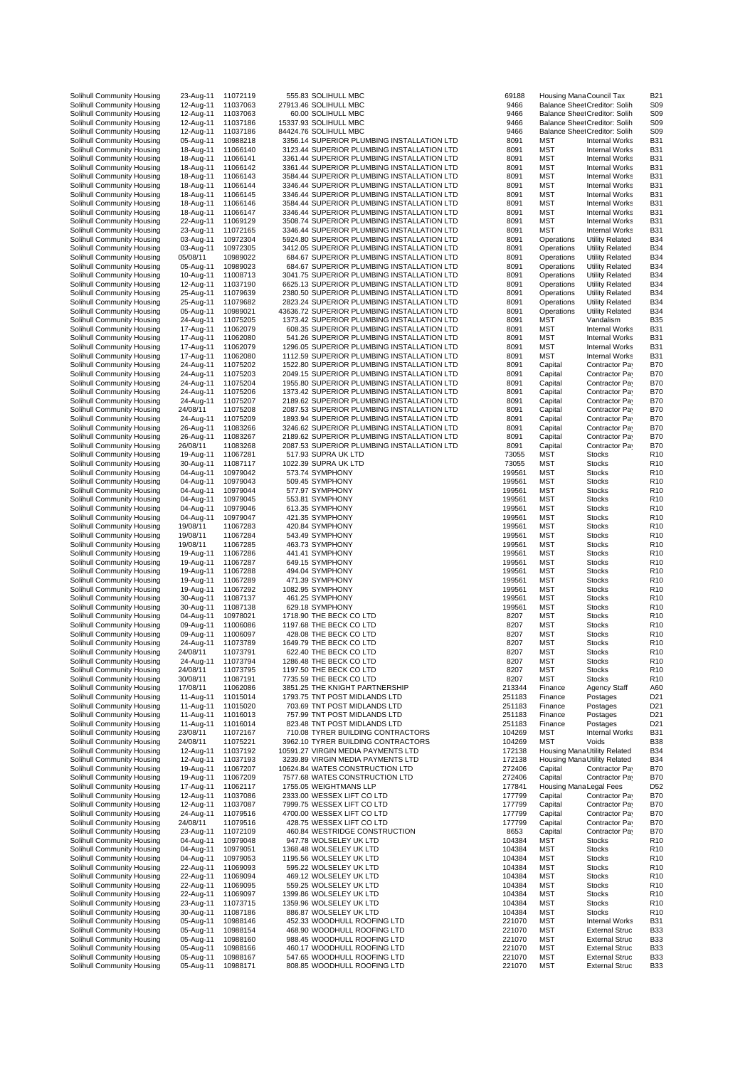| Solihull Community Housing                               | 23-Aug-11              | 11072119             | 555.83 SOLIHULL MBC                                        | 69188            |                         | Housing Mana Council Tax                       | <b>B21</b>      |
|----------------------------------------------------------|------------------------|----------------------|------------------------------------------------------------|------------------|-------------------------|------------------------------------------------|-----------------|
| Solihull Community Housing                               | 12-Aug-11              | 11037063             | 27913.46 SOLIHULL MBC                                      | 9466             |                         | Balance Shee Creditor: Solih                   | S <sub>09</sub> |
| Solihull Community Housing                               | 12-Aug-11              | 11037063             | 60.00 SOLIHULL MBC                                         | 9466             |                         | Balance Sheet Creditor: Solih                  | S <sub>09</sub> |
| Solihull Community Housing                               | 12-Aug-11              | 11037186             | 15337.93 SOLIHULL MBC                                      | 9466             |                         | Balance Sheet Creditor: Solih                  | S <sub>09</sub> |
| Solihull Community Housing                               | 12-Aug-11              | 11037186             | 84424.76 SOLIHULL MBC                                      | 9466             |                         | Balance Sheet Creditor: Solih                  | S <sub>09</sub> |
| Solihull Community Housing                               | 05-Aug-11              | 10988218             | 3356.14 SUPERIOR PLUMBING INSTALLATION LTD                 | 8091             | <b>MST</b>              | <b>Internal Works</b>                          | <b>B31</b>      |
| Solihull Community Housing                               | 18-Aug-11              | 11066140             | 3123.44 SUPERIOR PLUMBING INSTALLATION LTD                 | 8091             | <b>MST</b>              | <b>Internal Works</b>                          | <b>B31</b>      |
| Solihull Community Housing                               | 18-Aug-11              | 11066141             | 3361.44 SUPERIOR PLUMBING INSTALLATION LTD                 | 8091             | MST                     | <b>Internal Works</b>                          | <b>B31</b>      |
| Solihull Community Housing                               | 18-Aug-11              | 11066142             | 3361.44 SUPERIOR PLUMBING INSTALLATION LTD                 | 8091             | <b>MST</b>              | <b>Internal Works</b>                          | <b>B31</b>      |
| Solihull Community Housing                               | 18-Aug-11              | 11066143             | 3584.44 SUPERIOR PLUMBING INSTALLATION LTD                 | 8091             | <b>MST</b>              | <b>Internal Works</b>                          | <b>B31</b>      |
| Solihull Community Housing                               | 18-Aug-11              | 11066144             | 3346.44 SUPERIOR PLUMBING INSTALLATION LTD                 | 8091             | MST                     | <b>Internal Works</b>                          | <b>B31</b>      |
|                                                          |                        |                      | 3346.44 SUPERIOR PLUMBING INSTALLATION LTD                 |                  | <b>MST</b>              |                                                |                 |
| Solihull Community Housing                               | 18-Aug-11              | 11066145             |                                                            | 8091             |                         | <b>Internal Works</b>                          | B31             |
| Solihull Community Housing                               | 18-Aug-11              | 11066146             | 3584.44 SUPERIOR PLUMBING INSTALLATION LTD                 | 8091             | <b>MST</b>              | <b>Internal Works</b>                          | <b>B31</b>      |
| Solihull Community Housing                               | 18-Aug-11              | 11066147             | 3346.44 SUPERIOR PLUMBING INSTALLATION LTD                 | 8091             | MST                     | <b>Internal Works</b>                          | <b>B31</b>      |
| Solihull Community Housing                               | 22-Aug-11              | 11069129             | 3508.74 SUPERIOR PLUMBING INSTALLATION LTD                 | 8091             | MST                     | <b>Internal Works</b>                          | <b>B31</b>      |
| Solihull Community Housing                               | 23-Aug-11              | 11072165             | 3346.44 SUPERIOR PLUMBING INSTALLATION LTD                 | 8091             | MST                     | <b>Internal Works</b>                          | <b>B31</b>      |
| Solihull Community Housing                               | 03-Aug-11              | 10972304             | 5924.80 SUPERIOR PLUMBING INSTALLATION LTD                 | 8091             | Operations              | <b>Utility Related</b>                         | B34             |
| Solihull Community Housing                               | 03-Aug-11              | 10972305             | 3412.05 SUPERIOR PLUMBING INSTALLATION LTD                 | 8091             | Operations              | <b>Utility Related</b>                         | B34             |
| Solihull Community Housing                               | 05/08/11               | 10989022             | 684.67 SUPERIOR PLUMBING INSTALLATION LTD                  | 8091             | Operations              | <b>Utility Related</b>                         | B34             |
| Solihull Community Housing                               | 05-Aug-11              | 10989023             | 684.67 SUPERIOR PLUMBING INSTALLATION LTD                  | 8091             | Operations              | <b>Utility Related</b>                         | B34             |
| Solihull Community Housing                               | 10-Aug-11              | 11008713             | 3041.75 SUPERIOR PLUMBING INSTALLATION LTD                 | 8091             | Operations              | <b>Utility Related</b>                         | B34             |
| Solihull Community Housing                               | 12-Aug-11              | 11037190             | 6625.13 SUPERIOR PLUMBING INSTALLATION LTD                 | 8091             | Operations              | <b>Utility Related</b>                         | B34             |
| Solihull Community Housing                               | 25-Aug-11              | 11079639             | 2380.50 SUPERIOR PLUMBING INSTALLATION LTD                 | 8091             | Operations              | <b>Utility Related</b>                         | B34             |
| Solihull Community Housing                               | 25-Aug-11              | 11079682             | 2823.24 SUPERIOR PLUMBING INSTALLATION LTD                 | 8091             | Operations              | <b>Utility Related</b>                         | B34             |
| Solihull Community Housing                               | 05-Aug-11              | 10989021             | 43636.72 SUPERIOR PLUMBING INSTALLATION LTD                | 8091             | Operations              | <b>Utility Related</b>                         | B34             |
| Solihull Community Housing                               | 24-Aug-11              | 11075205             | 1373.42 SUPERIOR PLUMBING INSTALLATION LTD                 | 8091             | MST                     | Vandalism                                      | B <sub>35</sub> |
| Solihull Community Housing                               | 17-Aug-11              | 11062079             | 608.35 SUPERIOR PLUMBING INSTALLATION LTD                  | 8091             | <b>MST</b>              | <b>Internal Works</b>                          | <b>B31</b>      |
| Solihull Community Housing                               | 17-Aug-11              | 11062080             | 541.26 SUPERIOR PLUMBING INSTALLATION LTD                  | 8091             | MST                     | <b>Internal Works</b>                          | <b>B31</b>      |
| Solihull Community Housing                               | 17-Aug-11              | 11062079             | 1296.05 SUPERIOR PLUMBING INSTALLATION LTD                 | 8091             | MST                     | <b>Internal Works</b>                          | <b>B31</b>      |
| Solihull Community Housing                               | 17-Aug-11              | 11062080             | 1112.59 SUPERIOR PLUMBING INSTALLATION LTD                 | 8091             | MST                     | <b>Internal Works</b>                          | B31             |
| Solihull Community Housing                               | 24-Aug-11              | 11075202             | 1522.80 SUPERIOR PLUMBING INSTALLATION LTD                 | 8091             | Capital                 | Contractor Pay                                 | B70             |
|                                                          | 24-Aug-11              | 11075203             | 2049.15 SUPERIOR PLUMBING INSTALLATION LTD                 | 8091             |                         | Contractor Pay                                 |                 |
| Solihull Community Housing<br>Solihull Community Housing |                        |                      |                                                            |                  | Capital                 |                                                | B70             |
|                                                          | 24-Aug-11              | 11075204             | 1955.80 SUPERIOR PLUMBING INSTALLATION LTD                 | 8091             | Capital                 | Contractor Pay                                 | B70             |
| Solihull Community Housing                               | 24-Aug-11              | 11075206             | 1373.42 SUPERIOR PLUMBING INSTALLATION LTD                 | 8091             | Capital                 | Contractor Pay                                 | B70             |
| Solihull Community Housing                               | 24-Aug-11              | 11075207             | 2189.62 SUPERIOR PLUMBING INSTALLATION LTD                 | 8091             | Capital                 | Contractor Pay                                 | B70             |
| Solihull Community Housing                               | 24/08/11               | 11075208             | 2087.53 SUPERIOR PLUMBING INSTALLATION LTD                 | 8091             | Capital                 | Contractor Pay                                 | B70             |
| Solihull Community Housing                               | 24-Aug-11              | 11075209             | 1893.94 SUPERIOR PLUMBING INSTALLATION LTD                 | 8091             | Capital                 | Contractor Pay                                 | <b>B70</b>      |
| Solihull Community Housing                               | 26-Aug-11              | 11083266             | 3246.62 SUPERIOR PLUMBING INSTALLATION LTD                 | 8091             | Capital                 | Contractor Pay                                 | B70             |
| Solihull Community Housing                               | 26-Aug-11              | 11083267             | 2189.62 SUPERIOR PLUMBING INSTALLATION LTD                 | 8091             | Capital                 | Contractor Pay                                 | B70             |
| Solihull Community Housing                               | 26/08/11               | 11083268             | 2087.53 SUPERIOR PLUMBING INSTALLATION LTD                 | 8091             | Capital                 | Contractor Pay                                 | <b>B70</b>      |
| Solihull Community Housing                               | 19-Aug-11              | 11067281             | 517.93 SUPRA UK LTD                                        | 73055            | <b>MST</b>              | <b>Stocks</b>                                  | R <sub>10</sub> |
| Solihull Community Housing                               | 30-Aug-11              | 11087117             | 1022.39 SUPRA UK LTD                                       | 73055            | <b>MST</b>              | <b>Stocks</b>                                  | R <sub>1</sub>  |
| Solihull Community Housing                               | 04-Aug-11              | 10979042             | 573.74 SYMPHONY                                            | 199561           | MST                     | <b>Stocks</b>                                  | R <sub>1</sub>  |
| Solihull Community Housing                               | 04-Aug-11              | 10979043             | 509.45 SYMPHONY                                            | 199561           | MST                     | <b>Stocks</b>                                  | R10             |
| Solihull Community Housing                               | 04-Aug-11              | 10979044             | 577.97 SYMPHONY                                            | 199561           | <b>MST</b>              | <b>Stocks</b>                                  | R <sub>1</sub>  |
| Solihull Community Housing                               | 04-Aug-11              | 10979045             | 553.81 SYMPHONY                                            | 199561           | <b>MST</b>              | <b>Stocks</b>                                  | R <sub>10</sub> |
| Solihull Community Housing                               | 04-Aug-11              | 10979046             | 613.35 SYMPHONY                                            | 199561           | MST                     | <b>Stocks</b>                                  | R <sub>10</sub> |
| Solihull Community Housing                               | 04-Aug-11              | 10979047             | 421.35 SYMPHONY                                            | 199561           | <b>MST</b>              | <b>Stocks</b>                                  | R <sub>1</sub>  |
| Solihull Community Housing                               | 19/08/11               | 11067283             | 420.84 SYMPHONY                                            | 199561           | <b>MST</b>              | <b>Stocks</b>                                  | R <sub>1</sub>  |
| Solihull Community Housing                               | 19/08/11               | 11067284             | 543.49 SYMPHONY                                            | 199561           | MST                     | <b>Stocks</b>                                  | R <sub>1</sub>  |
| Solihull Community Housing                               | 19/08/11               | 11067285             | 463.73 SYMPHONY                                            | 199561           | MST                     | <b>Stocks</b>                                  | R <sub>10</sub> |
| Solihull Community Housing                               | 19-Aug-11              | 11067286             | 441.41 SYMPHONY                                            | 199561           | MST                     | <b>Stocks</b>                                  | R <sub>10</sub> |
| Solihull Community Housing                               | 19-Aug-11              | 11067287             | 649.15 SYMPHONY                                            | 199561           | MST                     | <b>Stocks</b>                                  | R <sub>10</sub> |
| Solihull Community Housing                               | 19-Aug-11              | 11067288             | 494.04 SYMPHONY                                            | 199561           | MST                     | <b>Stocks</b>                                  | R <sub>1</sub>  |
| Solihull Community Housing                               | 19-Aug-11              | 11067289             | 471.39 SYMPHONY                                            | 199561           | MST                     | <b>Stocks</b>                                  | R10             |
| Solihull Community Housing                               | 19-Aug-11              | 11067292             | 1082.95 SYMPHONY                                           | 199561           | <b>MST</b>              | <b>Stocks</b>                                  | R <sub>1</sub>  |
| Solihull Community Housing                               | 30-Aug-11              | 11087137             | 461.25 SYMPHONY                                            | 199561           | <b>MST</b>              | <b>Stocks</b>                                  | R <sub>10</sub> |
| Solihull Community Housing                               | 30-Aug-11              | 11087138             | 629.18 SYMPHONY                                            | 199561           | MST                     | <b>Stocks</b>                                  | R10             |
| Solihull Community Housing                               | 04-Aug-11              | 10978021             | 1718.90 THE BECK CO LTD                                    | 8207             | <b>MST</b>              | <b>Stocks</b>                                  | R <sub>1</sub>  |
| Solihull Community Housing                               | 09-Aug-11              |                      | 1197.68 THE BECK CO LTD                                    | 8207             | <b>MST</b>              |                                                | R <sub>1</sub>  |
| Solihull Community Housing                               | 09-Aug-11              | 11006086             |                                                            | 8207             |                         | <b>Stocks</b>                                  |                 |
|                                                          |                        | 11006097             | 428.08 THE BECK CO LTD                                     |                  | MST                     | <b>Stocks</b>                                  | R10             |
| Solihull Community Housing                               | 24-Aug-11              | 11073789             | 1649.79 THE BECK CO LTD                                    | 8207             | <b>MST</b>              | <b>Stocks</b>                                  | R <sub>1</sub>  |
| Solihull Community Housing                               | 24/08/11               | 11073791             | 622.40 THE BECK CO LTD                                     | 8207             | <b>MST</b>              | <b>Stocks</b>                                  | R <sub>10</sub> |
| Solihull Community Housing                               | 24-Aug-11              | 11073794             | 1286.48 THE BECK CO LTD                                    | 8207             | MST                     | <b>Stocks</b>                                  | R <sub>10</sub> |
| Solihull Community Housing                               | 24/08/11               | 11073795             | 1197.50 THE BECK CO LTD                                    | 8207             | MST                     | <b>Stocks</b>                                  | R <sub>1</sub>  |
| Solihull Community Housing                               | 30/08/11               | 11087191             | 7735.59 THE BECK CO LTD                                    | 8207             | MST                     | <b>Stocks</b>                                  | R <sub>1</sub>  |
| Solihull Community Housing                               | 17/08/11               | 11062086             | 3851.25 THE KNIGHT PARTNERSHIP                             | 213344           | Finance                 | Agency Staff                                   | A60             |
| Solihull Community Housing                               | 11-Aug-11              | 11015014             | 1793.75 TNT POST MIDLANDS LTD                              | 251183           | Finance                 | Postages                                       | D <sub>21</sub> |
| Solihull Community Housing                               | 11-Aug-11              | 11015020             | 703.69 TNT POST MIDLANDS LTD                               | 251183           | Finance                 | Postages                                       | D <sub>21</sub> |
| Solihull Community Housing                               | 11-Aug-11              | 11016013             | 757.99 TNT POST MIDLANDS LTD                               | 251183           | Finance                 | Postages                                       | D <sub>21</sub> |
| Solihull Community Housing                               | 11-Aug-11              | 11016014             | 823.48 TNT POST MIDLANDS LTD                               | 251183           | Finance                 | Postages                                       | D <sub>21</sub> |
| Solihull Community Housing                               | 23/08/11               | 11072167             | 710.08 TYRER BUILDING CONTRACTORS                          | 104269           | MST                     | <b>Internal Works</b>                          | <b>B31</b>      |
| Solihull Community Housing                               | 24/08/11               | 11075221             | 3962.10 TYRER BUILDING CONTRACTORS                         | 104269           | MST                     | Voids                                          | B38             |
| Solihull Community Housing                               | 12-Aug-11              | 11037192             | 10591.27 VIRGIN MEDIA PAYMENTS LTD                         | 172138           |                         | Housing Mana Utility Related                   | B34             |
| Solihull Community Housing                               | 12-Aug-11              | 11037193             | 3239.89 VIRGIN MEDIA PAYMENTS LTD                          | 172138           |                         | Housing Mana Utility Related                   | B34             |
| Solihull Community Housing                               | 19-Aug-11              | 11067207             | 10624.84 WATES CONSTRUCTION LTD                            | 272406           | Capital                 | Contractor Pay                                 | <b>B70</b>      |
| Solihull Community Housing                               | 19-Aug-11              | 11067209             | 7577.68 WATES CONSTRUCTION LTD                             | 272406           | Capital                 | Contractor Pay                                 | B70             |
|                                                          |                        | 11062117             | 1755.05 WEIGHTMANS LLP                                     | 177841           | Housing Mana Legal Fees |                                                | D52             |
| Solihull Community Housing                               | 17-Aug-11              |                      | 2333.00 WESSEX LIFT CO LTD                                 | 177799           | Capital                 |                                                | B70             |
| Solihull Community Housing                               | 12-Aug-11              | 11037086             |                                                            |                  |                         | Contractor Pay                                 |                 |
| Solihull Community Housing                               | 12-Aug-11              | 11037087             | 7999.75 WESSEX LIFT CO LTD                                 | 177799           | Capital                 | Contractor Pay                                 | B70             |
| Solihull Community Housing                               | 24-Aug-11              | 11079516             | 4700.00 WESSEX LIFT CO LTD                                 | 177799           | Capital                 | Contractor Pay                                 | <b>B70</b>      |
| Solihull Community Housing                               | 24/08/11               | 11079516             | 428.75 WESSEX LIFT CO LTD                                  | 177799           | Capital                 | Contractor Pay                                 | <b>B70</b>      |
| Solihull Community Housing                               | 23-Aug-11              | 11072109             | 460.84 WESTRIDGE CONSTRUCTION                              | 8653             | Capital                 | Contractor Pay                                 | B70             |
| Solihull Community Housing                               | 04-Aug-11              | 10979048             | 947.78 WOLSELEY UK LTD                                     | 104384           | <b>MST</b>              | <b>Stocks</b>                                  | R <sub>1</sub>  |
| Solihull Community Housing                               | 04-Aug-11              | 10979051             | 1368.48 WOLSELEY UK LTD                                    | 104384           | <b>MST</b>              | <b>Stocks</b>                                  | R <sub>10</sub> |
|                                                          |                        |                      |                                                            |                  |                         |                                                |                 |
| Solihull Community Housing                               | 04-Aug-11              | 10979053             | 1195.56 WOLSELEY UK LTD                                    | 104384           | <b>MST</b>              | <b>Stocks</b>                                  | R <sub>1</sub>  |
| Solihull Community Housing                               | 22-Aug-11              | 11069093             | 595.22 WOLSELEY UK LTD                                     | 104384           | MST                     | <b>Stocks</b>                                  | R <sub>1</sub>  |
| Solihull Community Housing                               | 22-Aug-11              | 11069094             | 469.12 WOLSELEY UK LTD                                     | 104384           | <b>MST</b>              | <b>Stocks</b>                                  | R <sub>1</sub>  |
| Solihull Community Housing                               | 22-Aug-11              | 11069095             | 559.25 WOLSELEY UK LTD                                     | 104384           | MST                     | <b>Stocks</b>                                  | R <sub>1</sub>  |
| Solihull Community Housing                               | 22-Aug-11              | 11069097             | 1399.86 WOLSELEY UK LTD                                    | 104384           | MST                     | <b>Stocks</b>                                  | R <sub>1</sub>  |
| Solihull Community Housing                               | 23-Aug-11              | 11073715             | 1359.96 WOLSELEY UK LTD                                    | 104384           | MST                     | <b>Stocks</b>                                  | R <sub>10</sub> |
| Solihull Community Housing                               | 30-Aug-11              | 11087186             | 886.87 WOLSELEY UK LTD                                     | 104384           | <b>MST</b>              | <b>Stocks</b>                                  | R <sub>1</sub>  |
| Solihull Community Housing                               | 05-Aug-11              | 10988146             | 452.33 WOODHULL ROOFING LTD                                | 221070           | <b>MST</b>              | <b>Internal Works</b>                          | <b>B31</b>      |
| Solihull Community Housing                               | 05-Aug-11              | 10988154             | 468.90 WOODHULL ROOFING LTD                                | 221070           | MST                     | <b>External Struc</b>                          | B33             |
| Solihull Community Housing                               | 05-Aug-11              | 10988160             | 988.45 WOODHULL ROOFING LTD                                | 221070           | <b>MST</b>              | <b>External Struc</b>                          | B33             |
| Solihull Community Housing                               | 05-Aug-11              | 10988166             | 460.17 WOODHULL ROOFING LTD                                | 221070           | <b>MST</b>              | <b>External Struc</b>                          | B33             |
| Solihull Community Housing<br>Solihull Community Housing | 05-Aug-11<br>05-Aug-11 | 10988167<br>10988171 | 547.65 WOODHULL ROOFING LTD<br>808.85 WOODHULL ROOFING LTD | 221070<br>221070 | MST<br><b>MST</b>       | <b>External Struc</b><br><b>External Struc</b> | B33<br>B33      |

| 39188<br>9466  | Housing ManaCouncil Tax<br>Balance Sheet Creditor: Solih |                                                        | B21<br>S09                         |
|----------------|----------------------------------------------------------|--------------------------------------------------------|------------------------------------|
| 9466           | Balance Sheet Creditor: Solih                            |                                                        | S09                                |
| 9466<br>9466   | Balance Sheet Creditor: Solih                            |                                                        | S09                                |
| 8091           | MST                                                      | Balance Sheet Creditor: Solih<br><b>Internal Works</b> | S <sub>09</sub><br>B31             |
| 8091           | MST                                                      | <b>Internal Works</b>                                  | B31                                |
| 8091<br>8091   | MST<br>MST                                               | <b>Internal Works</b><br><b>Internal Works</b>         | <b>B31</b><br><b>B31</b>           |
| 8091           | MST                                                      | <b>Internal Works</b>                                  | B31                                |
| 8091           | MST                                                      | <b>Internal Works</b>                                  | B31                                |
| 8091<br>8091   | MST<br>MST                                               | <b>Internal Works</b><br><b>Internal Works</b>         | <b>B31</b><br><b>B31</b>           |
| 8091           | MST                                                      | <b>Internal Works</b>                                  | B31                                |
| 8091           | MST                                                      | <b>Internal Works</b>                                  | B31                                |
| 8091<br>8091   | MST<br>Operations                                        | <b>Internal Works</b><br><b>Utility Related</b>        | B31<br>B34                         |
| 8091           | Operations                                               | <b>Utility Related</b>                                 | B34                                |
| 8091           | Operations                                               | <b>Utility Related</b>                                 | B34                                |
| 8091<br>8091   | Operations<br>Operations                                 | <b>Utility Related</b><br><b>Utility Related</b>       | <b>B34</b><br>B34                  |
| 8091           | Operations                                               | <b>Utility Related</b>                                 | B34                                |
| 8091           | Operations                                               | <b>Utility Related</b>                                 | B34                                |
| 8091<br>8091   | Operations<br>Operations                                 | <b>Utility Related</b><br><b>Utility Related</b>       | <b>B34</b><br>B34                  |
| 8091           | MST                                                      | Vandalism                                              | <b>B35</b>                         |
| 8091           | MST                                                      | <b>Internal Works</b>                                  | <b>B31</b>                         |
| 8091<br>8091   | MST<br>MST                                               | <b>Internal Works</b><br><b>Internal Works</b>         | B31<br>B31                         |
| 8091           | MST                                                      | <b>Internal Works</b>                                  | <b>B31</b>                         |
| 8091           | Capital                                                  | Contractor Pay                                         | <b>B70</b>                         |
| 8091<br>8091   | Capital<br>Capital                                       | Contractor Pay<br>Contractor Pay                       | B70<br>B70                         |
| 8091           | Capital                                                  | Contractor Pay                                         | B70                                |
| 8091           | Capital                                                  | Contractor Pay                                         | <b>B70</b>                         |
| 8091<br>8091   | Capital<br>Capital                                       | Contractor Pay<br>Contractor Pa                        | <b>B70</b><br><b>B70</b>           |
| 8091           | Capital                                                  | Contractor Pay                                         | <b>B70</b>                         |
| 8091           | Capital                                                  | Contractor Pay                                         | B70                                |
| 8091<br>3055   | Capital<br>MST                                           | Contractor Pay<br><b>Stocks</b>                        | <b>B70</b><br>R <sub>10</sub>      |
| 3055           | MST                                                      | <b>Stocks</b>                                          | R <sub>10</sub>                    |
| 99561<br>99561 | MST                                                      | Stocks                                                 | R10<br>R <sub>10</sub>             |
| 99561          | MST<br>MST                                               | <b>Stocks</b><br><b>Stocks</b>                         | R10                                |
| 99561          | MST                                                      | <b>Stocks</b>                                          | R10                                |
| 99561          | MST                                                      | Stocks                                                 | R10                                |
| 99561<br>99561 | MST<br>MST                                               | <b>Stocks</b><br><b>Stocks</b>                         | R <sub>10</sub><br>R <sub>10</sub> |
| 99561          | MST                                                      | <b>Stocks</b>                                          | R10                                |
| 99561          | MST                                                      | <b>Stocks</b>                                          | R <sub>10</sub>                    |
| 99561<br>99561 | MST<br>MST                                               | Stocks<br><b>Stocks</b>                                | R10<br>R10                         |
| 99561          | MST                                                      | <b>Stocks</b>                                          | R10                                |
| 99561<br>99561 | MST<br><b>MST</b>                                        | Stocks<br><b>Stocks</b>                                | R <sub>10</sub><br>R <sub>10</sub> |
| 99561          | MST                                                      | <b>Stocks</b>                                          | R10                                |
| 99561          | MST                                                      | <b>Stocks</b>                                          | R10                                |
| 8207<br>8207   | MST<br><b>MST</b>                                        | <b>Stocks</b>                                          | R <sub>10</sub><br>R <sub>10</sub> |
| 8207           | MST                                                      | <b>Stocks</b><br><b>Stocks</b>                         | R10                                |
| 8207           | <b>MST</b>                                               | <b>Stocks</b>                                          | R <sub>10</sub>                    |
| 8207<br>8207   | MST<br>MST                                               | <b>Stocks</b><br><b>Stocks</b>                         | R <sub>10</sub><br>R <sub>10</sub> |
| 8207           | MST                                                      | Stocks                                                 | R <sub>10</sub>                    |
| 8207           | MST                                                      | <b>Stocks</b>                                          | R <sub>10</sub>                    |
| 13344          | Finance                                                  | Agency Staff<br>Postages                               | A60                                |
| 51183<br>51183 | Finance<br>Finance                                       | Postages                                               | D21<br>D21                         |
| 51183          | Finance                                                  | Postages                                               | D <sub>21</sub>                    |
| 51183<br>04269 | Finance<br>MST                                           | Postages<br><b>Internal Works</b>                      | D21<br>B31                         |
| 04269          | MST                                                      | Voids                                                  | <b>B38</b>                         |
| 72138          | Housing Mana Utility Related                             |                                                        | B34                                |
| 72138<br>72406 | Housing Mana Utility Related<br>Capital                  | Contractor Pay                                         | B34<br>B70                         |
| 72406          | Capital                                                  | Contractor Pay                                         | <b>B70</b>                         |
| 77841          | Housing Mana Legal Fees                                  |                                                        | D52                                |
| 77799<br>77799 | Capital<br>Capital                                       | Contractor Pay<br>Contractor Pay                       | <b>B70</b><br><b>B70</b>           |
| 77799          | Capital                                                  | Contractor Pay                                         | <b>B70</b>                         |
| 77799          | Capital                                                  | Contractor Pay                                         | B70                                |
| 8653<br>04384  | Capital<br>MST                                           | Contractor Pay<br><b>Stocks</b>                        | B70<br>R <sub>10</sub>             |
| 04384          | MST                                                      | <b>Stocks</b>                                          | R <sub>10</sub>                    |
| 04384          | MST                                                      | <b>Stocks</b>                                          | R10                                |
| 04384<br>04384 | MST<br>MST                                               | Stocks<br><b>Stocks</b>                                | R10<br>R10                         |
| 04384          | MST                                                      | <b>Stocks</b>                                          | R10                                |
| 04384          | MST                                                      | <b>Stocks</b>                                          | R10                                |
| 04384<br>04384 | MST<br>MST                                               | <b>Stocks</b><br><b>Stocks</b>                         | R10<br>R10                         |
| 21070          | MST                                                      | <b>Internal Works</b>                                  | B31                                |
| 21070          | MST                                                      | <b>External Struc</b>                                  | B33                                |
| 21070<br>21070 | MST<br>MST                                               | <b>External Struc</b><br><b>External Struc</b>         | B33<br>B33                         |
| 21070          | MST                                                      | <b>External Struc</b>                                  | B33                                |
| 21070          | MST                                                      | <b>External Struc</b>                                  | B33                                |